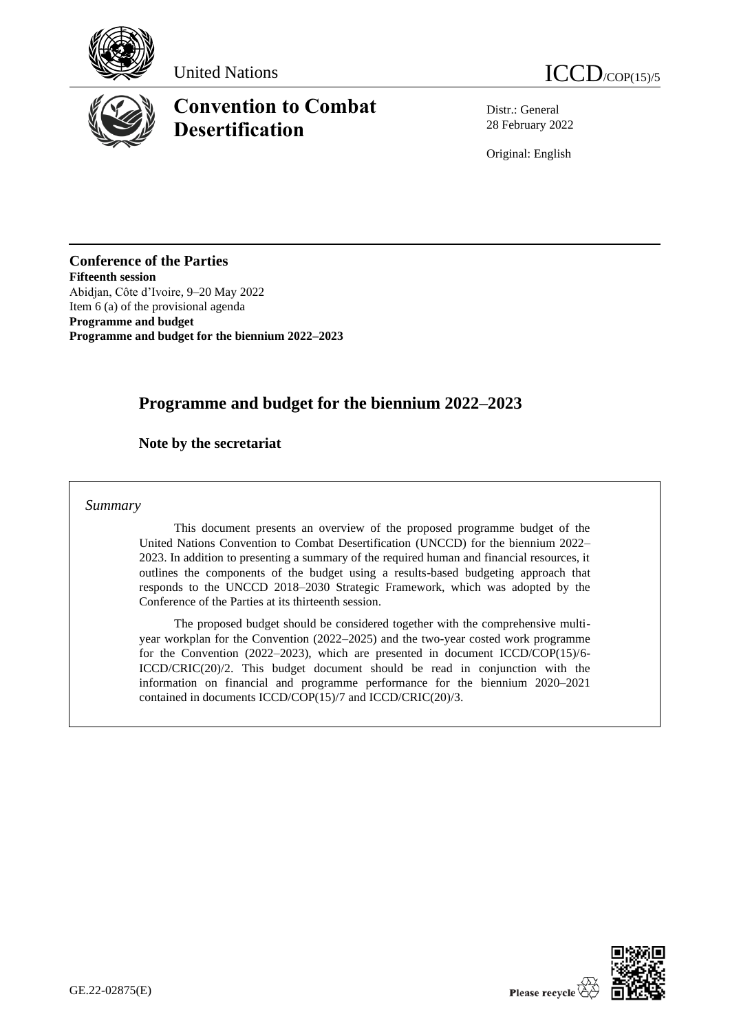





# **Convention to Combat Desertification**

Distr.: General 28 February 2022

Original: English

**Conference of the Parties Fifteenth session** Abidjan, Côte d'Ivoire, 9–20 May 2022 Item 6 (a) of the provisional agenda **Programme and budget Programme and budget for the biennium 2022–2023**

# **Programme and budget for the biennium 2022–2023**

## **Note by the secretariat**

#### *Summary*

This document presents an overview of the proposed programme budget of the United Nations Convention to Combat Desertification (UNCCD) for the biennium 2022– 2023. In addition to presenting a summary of the required human and financial resources, it outlines the components of the budget using a results-based budgeting approach that responds to the UNCCD 2018–2030 Strategic Framework, which was adopted by the Conference of the Parties at its thirteenth session.

The proposed budget should be considered together with the comprehensive multiyear workplan for the Convention (2022–2025) and the two-year costed work programme for the Convention (2022–2023), which are presented in document ICCD/COP(15)/6- ICCD/CRIC(20)/2. This budget document should be read in conjunction with the information on financial and programme performance for the biennium 2020–2021 contained in documents ICCD/COP(15)/7 and ICCD/CRIC(20)/3.

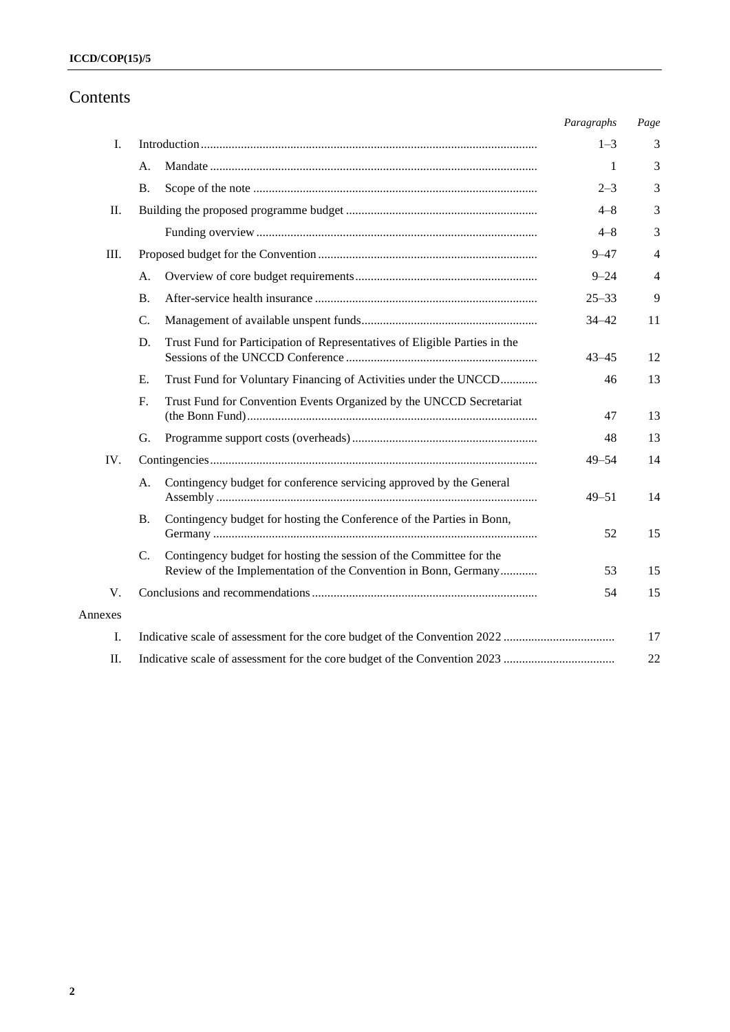# Contents

|         |           |                                                                                                                                        | Paragraphs | Page           |
|---------|-----------|----------------------------------------------------------------------------------------------------------------------------------------|------------|----------------|
| I.      |           |                                                                                                                                        | $1 - 3$    | 3              |
|         | А.        |                                                                                                                                        | 1          | 3              |
|         | <b>B.</b> |                                                                                                                                        | $2 - 3$    | 3              |
| II.     |           |                                                                                                                                        | $4 - 8$    | 3              |
|         |           |                                                                                                                                        | $4 - 8$    | 3              |
| Ш.      |           |                                                                                                                                        | $9 - 47$   | $\overline{4}$ |
|         | А.        |                                                                                                                                        | $9 - 24$   | $\overline{4}$ |
|         | <b>B.</b> |                                                                                                                                        | $25 - 33$  | 9              |
|         | C.        |                                                                                                                                        | $34 - 42$  | 11             |
|         | D.        | Trust Fund for Participation of Representatives of Eligible Parties in the                                                             | $43 - 45$  | 12             |
|         | Ε.        | Trust Fund for Voluntary Financing of Activities under the UNCCD                                                                       | 46         | 13             |
|         | F.        | Trust Fund for Convention Events Organized by the UNCCD Secretariat                                                                    | 47         | 13             |
|         | G.        |                                                                                                                                        | 48         | 13             |
| IV.     |           |                                                                                                                                        | $49 - 54$  | 14             |
|         | А.        | Contingency budget for conference servicing approved by the General                                                                    | $49 - 51$  | 14             |
|         | <b>B.</b> | Contingency budget for hosting the Conference of the Parties in Bonn,                                                                  | 52         | 15             |
|         | C.        | Contingency budget for hosting the session of the Committee for the<br>Review of the Implementation of the Convention in Bonn, Germany | 53         | 15             |
| V.      |           |                                                                                                                                        | 54         | 15             |
| Annexes |           |                                                                                                                                        |            |                |
| I.      |           |                                                                                                                                        |            | 17             |
| II.     |           |                                                                                                                                        |            | 22             |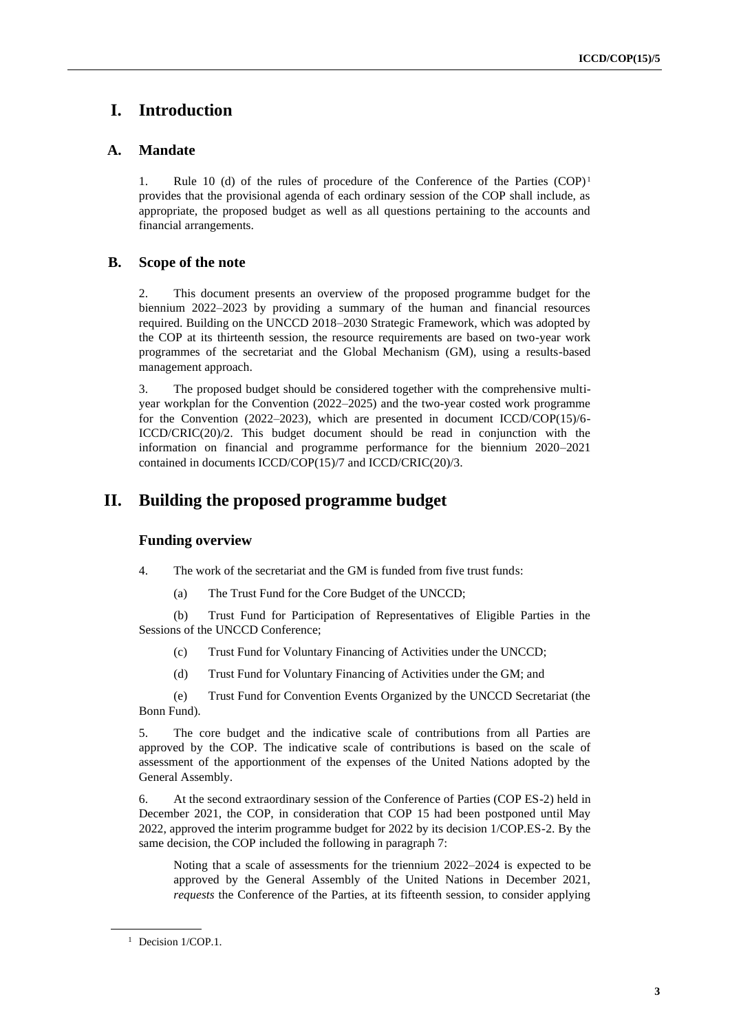# **I. Introduction**

## **A. Mandate**

1. Rule 10 (d) of the rules of procedure of the Conference of the Parties  $(COP)^1$ provides that the provisional agenda of each ordinary session of the COP shall include, as appropriate, the proposed budget as well as all questions pertaining to the accounts and financial arrangements.

## **B. Scope of the note**

2. This document presents an overview of the proposed programme budget for the biennium 2022–2023 by providing a summary of the human and financial resources required. Building on the UNCCD 2018–2030 Strategic Framework, which was adopted by the COP at its thirteenth session, the resource requirements are based on two-year work programmes of the secretariat and the Global Mechanism (GM), using a results-based management approach.

3. The proposed budget should be considered together with the comprehensive multiyear workplan for the Convention (2022–2025) and the two-year costed work programme for the Convention (2022–2023), which are presented in document ICCD/COP(15)/6- ICCD/CRIC(20)/2. This budget document should be read in conjunction with the information on financial and programme performance for the biennium 2020–2021 contained in documents ICCD/COP(15)/7 and ICCD/CRIC(20)/3.

## **II. Building the proposed programme budget**

### **Funding overview**

- 4. The work of the secretariat and the GM is funded from five trust funds:
	- (a) The Trust Fund for the Core Budget of the UNCCD;

(b) Trust Fund for Participation of Representatives of Eligible Parties in the Sessions of the UNCCD Conference;

- (c) Trust Fund for Voluntary Financing of Activities under the UNCCD;
- (d) Trust Fund for Voluntary Financing of Activities under the GM; and

(e) Trust Fund for Convention Events Organized by the UNCCD Secretariat (the Bonn Fund).

5. The core budget and the indicative scale of contributions from all Parties are approved by the COP. The indicative scale of contributions is based on the scale of assessment of the apportionment of the expenses of the United Nations adopted by the General Assembly.

6. At the second extraordinary session of the Conference of Parties (COP ES-2) held in December 2021, the COP, in consideration that COP 15 had been postponed until May 2022, approved the interim programme budget for 2022 by its decision 1/COP.ES-2. By the same decision, the COP included the following in paragraph 7:

Noting that a scale of assessments for the triennium 2022–2024 is expected to be approved by the General Assembly of the United Nations in December 2021, *requests* the Conference of the Parties, at its fifteenth session, to consider applying

<sup>&</sup>lt;sup>1</sup> Decision 1/COP.1.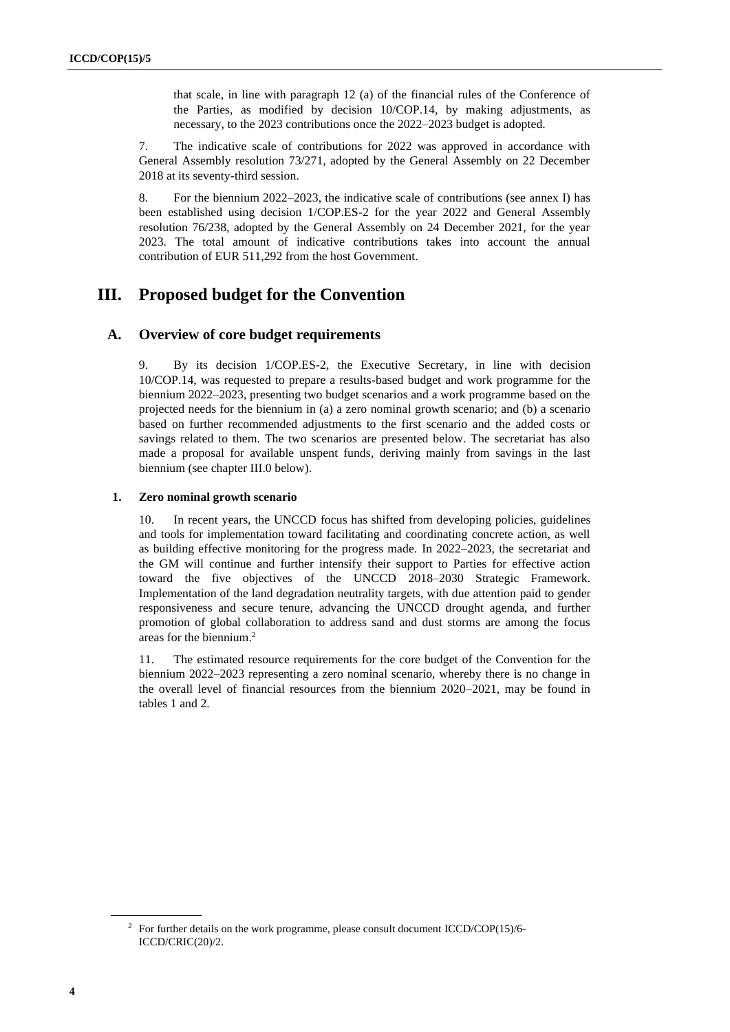that scale, in line with paragraph 12 (a) of the financial rules of the Conference of the Parties, as modified by decision 10/COP.14, by making adjustments, as necessary, to the 2023 contributions once the 2022–2023 budget is adopted.

7. The indicative scale of contributions for 2022 was approved in accordance with General Assembly resolution 73/271, adopted by the General Assembly on 22 December 2018 at its seventy-third session.

8. For the biennium 2022–2023, the indicative scale of contributions (see annex I) has been established using decision 1/COP.ES-2 for the year 2022 and General Assembly resolution 76/238, adopted by the General Assembly on 24 December 2021, for the year 2023. The total amount of indicative contributions takes into account the annual contribution of EUR 511,292 from the host Government.

## **III. Proposed budget for the Convention**

#### **A. Overview of core budget requirements**

9. By its decision 1/COP.ES-2, the Executive Secretary, in line with decision 10/COP.14, was requested to prepare a results-based budget and work programme for the biennium 2022–2023, presenting two budget scenarios and a work programme based on the projected needs for the biennium in (a) a zero nominal growth scenario; and (b) a scenario based on further recommended adjustments to the first scenario and the added costs or savings related to them. The two scenarios are presented below. The secretariat has also made a proposal for available unspent funds, deriving mainly from savings in the last biennium (see chapter II[I.0](#page-10-0) below).

#### **1. Zero nominal growth scenario**

In recent years, the UNCCD focus has shifted from developing policies, guidelines and tools for implementation toward facilitating and coordinating concrete action, as well as building effective monitoring for the progress made. In 2022–2023, the secretariat and the GM will continue and further intensify their support to Parties for effective action toward the five objectives of the UNCCD 2018–2030 Strategic Framework. Implementation of the land degradation neutrality targets, with due attention paid to gender responsiveness and secure tenure, advancing the UNCCD drought agenda, and further promotion of global collaboration to address sand and dust storms are among the focus areas for the biennium.<sup>2</sup>

11. The estimated resource requirements for the core budget of the Convention for the biennium 2022–2023 representing a zero nominal scenario, whereby there is no change in the overall level of financial resources from the biennium 2020–2021, may be found in tables 1 and 2.

<sup>2</sup> For further details on the work programme, please consult document ICCD/COP(15)/6- ICCD/CRIC(20)/2.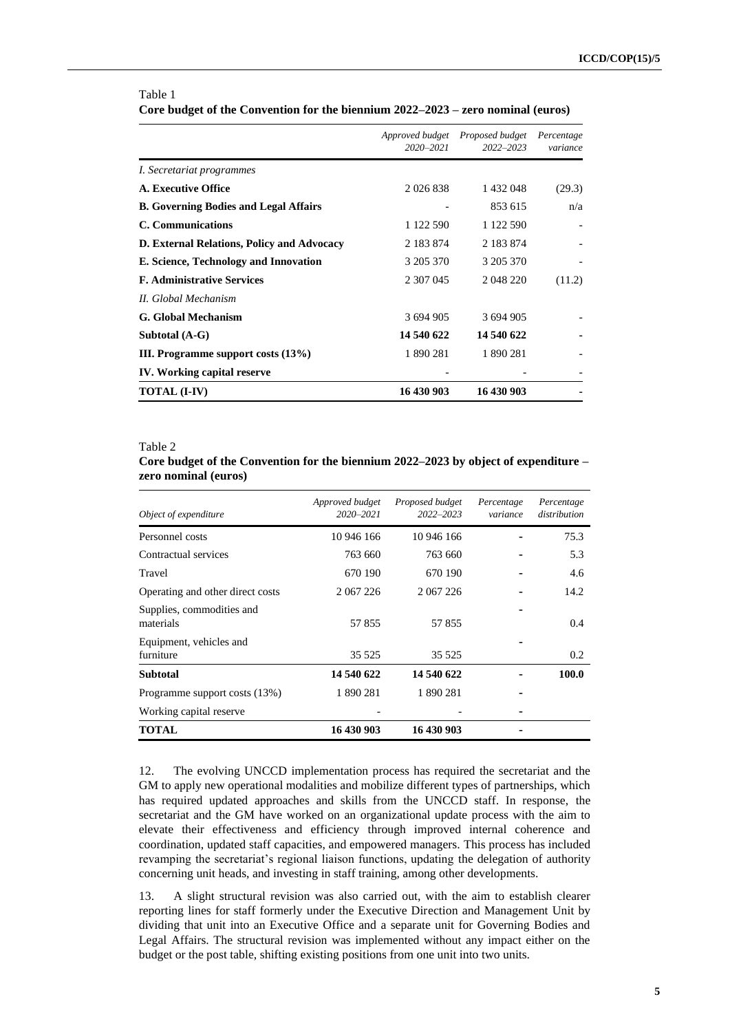|                                              | Approved budget<br>$2020 - 2021$ | Proposed budget<br>$2022 - 2023$ | Percentage<br>variance |
|----------------------------------------------|----------------------------------|----------------------------------|------------------------|
| <i>I. Secretariat programmes</i>             |                                  |                                  |                        |
| A. Executive Office                          | 2 0 2 6 8 3 8                    | 1 432 048                        | (29.3)                 |
| <b>B. Governing Bodies and Legal Affairs</b> |                                  | 853 615                          | n/a                    |
| <b>C.</b> Communications                     | 1 122 590                        | 1 122 590                        |                        |
| D. External Relations, Policy and Advocacy   | 2 183 874                        | 2 183 874                        |                        |
| E. Science, Technology and Innovation        | 3 205 370                        | 3 205 370                        |                        |
| <b>F. Administrative Services</b>            | 2 307 045                        | 2 048 220                        | (11.2)                 |
| II. Global Mechanism                         |                                  |                                  |                        |
| <b>G.</b> Global Mechanism                   | 3 694 905                        | 3 694 905                        |                        |
| Subtotal (A-G)                               | 14 540 622                       | 14 540 622                       |                        |
| III. Programme support costs (13%)           | 1890281                          | 1890281                          |                        |
| IV. Working capital reserve                  |                                  |                                  |                        |
| <b>TOTAL (I-IV)</b>                          | 16 430 903                       | 16 430 903                       |                        |

#### Table 1 **Core budget of the Convention for the biennium 2022–2023 – zero nominal (euros)**

#### Table 2

**Core budget of the Convention for the biennium 2022–2023 by object of expenditure – zero nominal (euros)**

| Object of expenditure                  | Approved budget<br>2020-2021 | Proposed budget<br>$2022 - 2023$ | Percentage<br>variance | Percentage<br>distribution |
|----------------------------------------|------------------------------|----------------------------------|------------------------|----------------------------|
| Personnel costs                        | 10 946 166                   | 10 946 166                       |                        | 75.3                       |
| Contractual services                   | 763 660                      | 763 660                          |                        | 5.3                        |
| Travel                                 | 670 190                      | 670 190                          |                        | 4.6                        |
| Operating and other direct costs       | 2 067 226                    | 2 067 226                        |                        | 14.2                       |
| Supplies, commodities and<br>materials | 57855                        | 57855                            |                        | 0.4                        |
| Equipment, vehicles and<br>furniture   | 35 5 25                      | 35 5 25                          |                        | $0.2^{\circ}$              |
| <b>Subtotal</b>                        | 14 540 622                   | 14 540 622                       |                        | 100.0                      |
| Programme support costs (13%)          | 1 890 281                    | 1 890 281                        |                        |                            |
| Working capital reserve                |                              |                                  |                        |                            |
| <b>TOTAL</b>                           | 16 430 903                   | 16 430 903                       |                        |                            |

12. The evolving UNCCD implementation process has required the secretariat and the GM to apply new operational modalities and mobilize different types of partnerships, which has required updated approaches and skills from the UNCCD staff. In response, the secretariat and the GM have worked on an organizational update process with the aim to elevate their effectiveness and efficiency through improved internal coherence and coordination, updated staff capacities, and empowered managers. This process has included revamping the secretariat's regional liaison functions, updating the delegation of authority concerning unit heads, and investing in staff training, among other developments.

13. A slight structural revision was also carried out, with the aim to establish clearer reporting lines for staff formerly under the Executive Direction and Management Unit by dividing that unit into an Executive Office and a separate unit for Governing Bodies and Legal Affairs. The structural revision was implemented without any impact either on the budget or the post table, shifting existing positions from one unit into two units.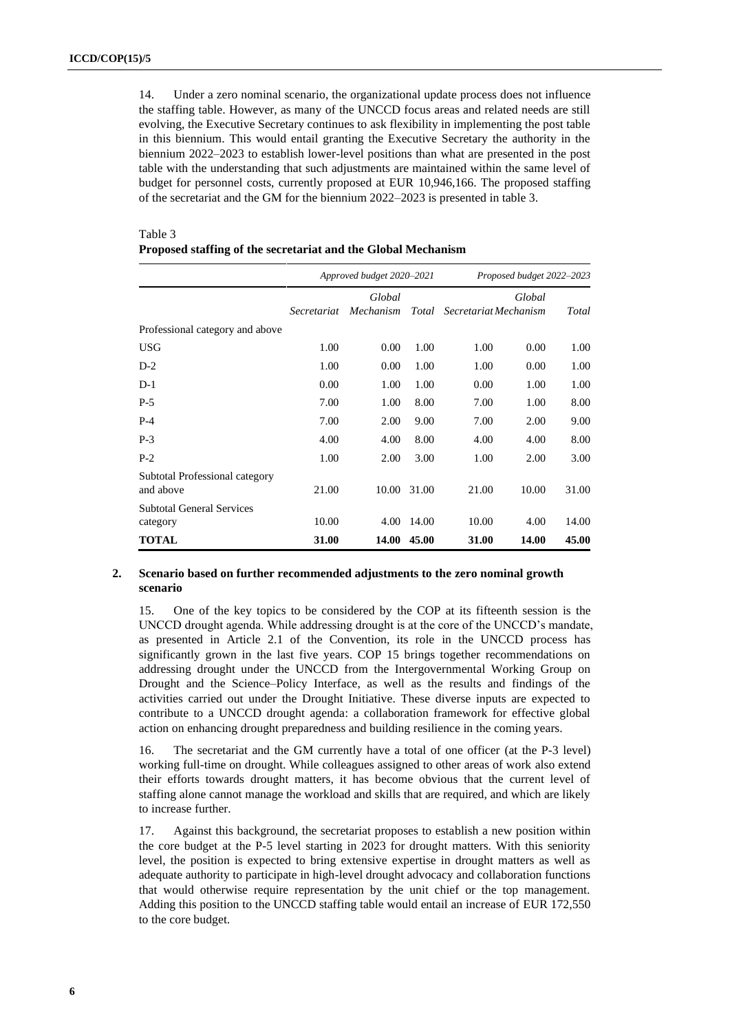14. Under a zero nominal scenario, the organizational update process does not influence the staffing table. However, as many of the UNCCD focus areas and related needs are still evolving, the Executive Secretary continues to ask flexibility in implementing the post table in this biennium. This would entail granting the Executive Secretary the authority in the biennium 2022–2023 to establish lower-level positions than what are presented in the post table with the understanding that such adjustments are maintained within the same level of budget for personnel costs, currently proposed at EUR 10,946,166. The proposed staffing of the secretariat and the GM for the biennium 2022–2023 is presented in table 3.

| Proposed staffing of the secretariat and the Global Mechanism |                    |                           |                           |                             |        |       |  |
|---------------------------------------------------------------|--------------------|---------------------------|---------------------------|-----------------------------|--------|-------|--|
|                                                               |                    | Approved budget 2020-2021 | Proposed budget 2022-2023 |                             |        |       |  |
|                                                               | <i>Secretariat</i> | Global<br>Mechanism       |                           | Total Secretariat Mechanism | Global | Total |  |
| Professional category and above                               |                    |                           |                           |                             |        |       |  |
| <b>USG</b>                                                    | 1.00               | 0.00                      | 1.00                      | 1.00                        | 0.00   | 1.00  |  |
| $D-2$                                                         | 1.00               | 0.00                      | 1.00                      | 1.00                        | 0.00   | 1.00  |  |
| $D-1$                                                         | 0.00               | 1.00                      | 1.00                      | 0.00                        | 1.00   | 1.00  |  |
| $P-5$                                                         | 7.00               | 1.00                      | 8.00                      | 7.00                        | 1.00   | 8.00  |  |
| $P-4$                                                         | 7.00               | 2.00                      | 9.00                      | 7.00                        | 2.00   | 9.00  |  |
| $P-3$                                                         | 4.00               | 4.00                      | 8.00                      | 4.00                        | 4.00   | 8.00  |  |
| $P-2$                                                         | 1.00               | 2.00                      | 3.00                      | 1.00                        | 2.00   | 3.00  |  |
| Subtotal Professional category<br>and above                   | 21.00              | 10.00                     | 31.00                     | 21.00                       | 10.00  | 31.00 |  |
| <b>Subtotal General Services</b>                              |                    |                           |                           |                             |        |       |  |
| category                                                      | 10.00              | 4.00                      | 14.00                     | 10.00                       | 4.00   | 14.00 |  |
| TOTAL                                                         | 31.00              | 14.00                     | 45.00                     | 31.00                       | 14.00  | 45.00 |  |

Table 3

#### **2. Scenario based on further recommended adjustments to the zero nominal growth scenario**

15. One of the key topics to be considered by the COP at its fifteenth session is the UNCCD drought agenda. While addressing drought is at the core of the UNCCD's mandate, as presented in Article 2.1 of the Convention, its role in the UNCCD process has significantly grown in the last five years. COP 15 brings together recommendations on addressing drought under the UNCCD from the Intergovernmental Working Group on Drought and the Science–Policy Interface, as well as the results and findings of the activities carried out under the Drought Initiative. These diverse inputs are expected to contribute to a UNCCD drought agenda: a collaboration framework for effective global action on enhancing drought preparedness and building resilience in the coming years.

16. The secretariat and the GM currently have a total of one officer (at the P-3 level) working full-time on drought. While colleagues assigned to other areas of work also extend their efforts towards drought matters, it has become obvious that the current level of staffing alone cannot manage the workload and skills that are required, and which are likely to increase further.

17. Against this background, the secretariat proposes to establish a new position within the core budget at the P-5 level starting in 2023 for drought matters. With this seniority level, the position is expected to bring extensive expertise in drought matters as well as adequate authority to participate in high-level drought advocacy and collaboration functions that would otherwise require representation by the unit chief or the top management. Adding this position to the UNCCD staffing table would entail an increase of EUR 172,550 to the core budget.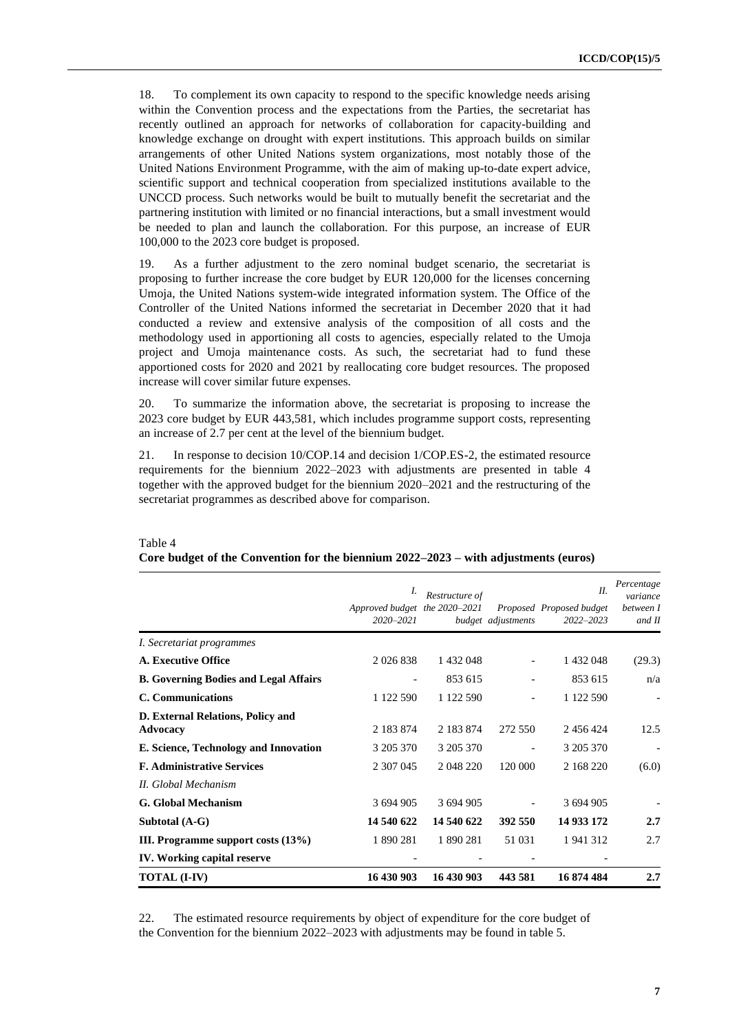18. To complement its own capacity to respond to the specific knowledge needs arising within the Convention process and the expectations from the Parties, the secretariat has recently outlined an approach for networks of collaboration for capacity-building and knowledge exchange on drought with expert institutions. This approach builds on similar arrangements of other United Nations system organizations, most notably those of the United Nations Environment Programme, with the aim of making up-to-date expert advice, scientific support and technical cooperation from specialized institutions available to the UNCCD process. Such networks would be built to mutually benefit the secretariat and the partnering institution with limited or no financial interactions, but a small investment would be needed to plan and launch the collaboration. For this purpose, an increase of EUR 100,000 to the 2023 core budget is proposed.

19. As a further adjustment to the zero nominal budget scenario, the secretariat is proposing to further increase the core budget by EUR 120,000 for the licenses concerning Umoja, the United Nations system-wide integrated information system. The Office of the Controller of the United Nations informed the secretariat in December 2020 that it had conducted a review and extensive analysis of the composition of all costs and the methodology used in apportioning all costs to agencies, especially related to the Umoja project and Umoja maintenance costs. As such, the secretariat had to fund these apportioned costs for 2020 and 2021 by reallocating core budget resources. The proposed increase will cover similar future expenses.

20. To summarize the information above, the secretariat is proposing to increase the 2023 core budget by EUR 443,581, which includes programme support costs, representing an increase of 2.7 per cent at the level of the biennium budget.

21. In response to decision 10/COP.14 and decision 1/COP.ES-2, the estimated resource requirements for the biennium 2022–2023 with adjustments are presented in table 4 together with the approved budget for the biennium 2020–2021 and the restructuring of the secretariat programmes as described above for comparison.

|                                               | Approved budget the 2020-2021<br>$2020 - 2021$ | Restructure of | budget adjustments | H.<br>Proposed Proposed budget<br>2022-2023 | Percentage<br>variance<br>between I<br>and II |
|-----------------------------------------------|------------------------------------------------|----------------|--------------------|---------------------------------------------|-----------------------------------------------|
| I. Secretariat programmes                     |                                                |                |                    |                                             |                                               |
| <b>A. Executive Office</b>                    | 2 0 2 6 8 3 8                                  | 1 432 048      |                    | 1 432 048                                   | (29.3)                                        |
| <b>B. Governing Bodies and Legal Affairs</b>  |                                                | 853 615        |                    | 853 615                                     | n/a                                           |
| C. Communications                             | 1 122 590                                      | 1 122 590      |                    | 1 122 590                                   |                                               |
| D. External Relations, Policy and<br>Advocacy | 2 183 874                                      | 2 183 874      | 272 550            | 2 456 424                                   | 12.5                                          |
| E. Science, Technology and Innovation         | 3 205 370                                      | 3 205 370      |                    | 3 205 370                                   |                                               |
| <b>F. Administrative Services</b>             | 2 307 045                                      | 2 048 220      | 120 000            | 2 168 220                                   | (6.0)                                         |
| II. Global Mechanism                          |                                                |                |                    |                                             |                                               |
| <b>G.</b> Global Mechanism                    | 3 694 905                                      | 3 694 905      |                    | 3 694 905                                   |                                               |
| Subtotal (A-G)                                | 14 540 622                                     | 14 540 622     | 392 550            | 14 933 172                                  | 2.7                                           |
| III. Programme support costs $(13%)$          | 1 890 281                                      | 1 890 281      | 51 031             | 1941312                                     | 2.7                                           |
| <b>IV.</b> Working capital reserve            |                                                |                |                    |                                             |                                               |
| <b>TOTAL (I-IV)</b>                           | 16 430 903                                     | 16 430 903     | 443 581            | 16 874 484                                  | 2.7                                           |

#### Table 4 **Core budget of the Convention for the biennium 2022–2023 – with adjustments (euros)**

22. The estimated resource requirements by object of expenditure for the core budget of the Convention for the biennium 2022–2023 with adjustments may be found in table 5.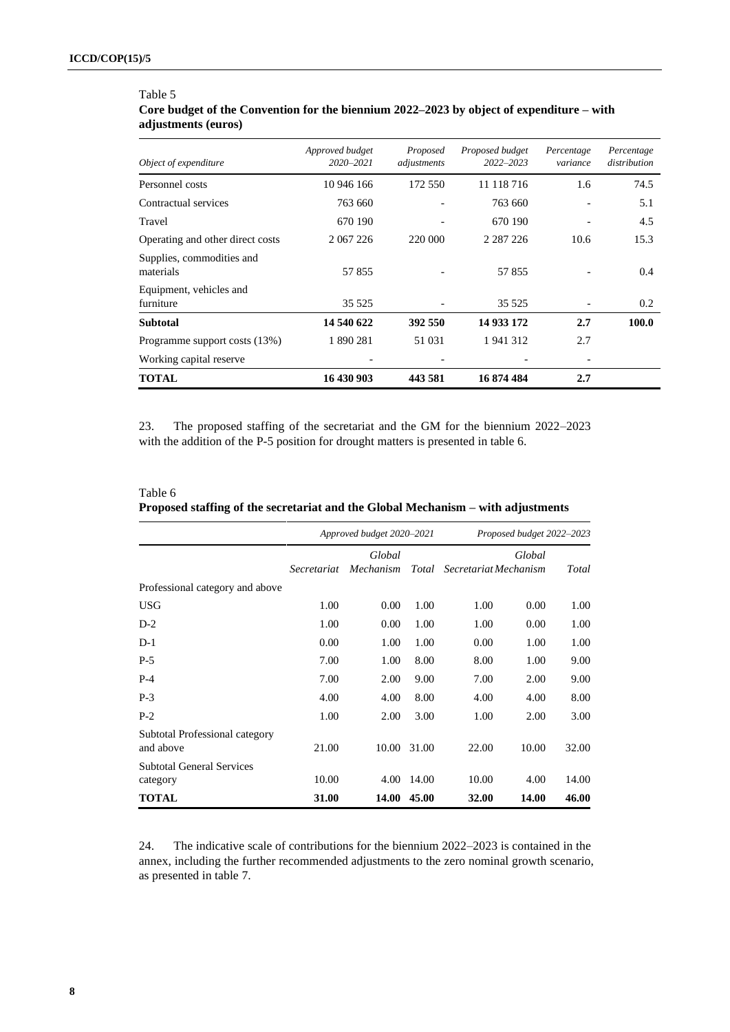## Table 5 **Core budget of the Convention for the biennium 2022–2023 by object of expenditure – with adjustments (euros)**

| Object of expenditure                  | Approved budget<br>$2020 - 2021$ | Proposed<br>adjustments | Proposed budget<br>$2022 - 2023$ | Percentage<br>variance | Percentage<br>distribution |
|----------------------------------------|----------------------------------|-------------------------|----------------------------------|------------------------|----------------------------|
| Personnel costs                        | 10 946 166                       | 172 550                 | 11 118 716                       | 1.6                    | 74.5                       |
| Contractual services                   | 763 660                          |                         | 763 660                          |                        | 5.1                        |
| Travel                                 | 670 190                          |                         | 670 190                          |                        | 4.5                        |
| Operating and other direct costs       | 2 067 226                        | 220 000                 | 2 2 8 7 2 2 6                    | 10.6                   | 15.3                       |
| Supplies, commodities and<br>materials | 57855                            |                         | 57855                            |                        | 0.4                        |
| Equipment, vehicles and<br>furniture   | 35 5 25                          |                         | 35 5 25                          |                        | 0.2                        |
| <b>Subtotal</b>                        | 14 540 622                       | 392 550                 | 14 933 172                       | 2.7                    | 100.0                      |
| Programme support costs (13%)          | 1 890 281                        | 51 031                  | 1941312                          | 2.7                    |                            |
| Working capital reserve                | $\overline{\phantom{0}}$         |                         |                                  |                        |                            |
| <b>TOTAL</b>                           | 16 430 903                       | 443 581                 | 16874484                         | 2.7                    |                            |

23. The proposed staffing of the secretariat and the GM for the biennium 2022–2023 with the addition of the P-5 position for drought matters is presented in table 6.

| Table 6 |  |
|---------|--|
|         |  |

| Proposed staffing of the secretariat and the Global Mechanism - with adjustments |  |
|----------------------------------------------------------------------------------|--|
|----------------------------------------------------------------------------------|--|

|                                              | Approved budget 2020-2021 |                     |       | Proposed budget 2022-2023 |        |       |
|----------------------------------------------|---------------------------|---------------------|-------|---------------------------|--------|-------|
|                                              | Secretariat               | Global<br>Mechanism | Total | Secretariat Mechanism     | Global | Total |
| Professional category and above              |                           |                     |       |                           |        |       |
| <b>USG</b>                                   | 1.00                      | 0.00                | 1.00  | 1.00                      | 0.00   | 1.00  |
| $D-2$                                        | 1.00                      | 0.00                | 1.00  | 1.00                      | 0.00   | 1.00  |
| $D-1$                                        | 0.00                      | 1.00                | 1.00  | 0.00                      | 1.00   | 1.00  |
| $P-5$                                        | 7.00                      | 1.00                | 8.00  | 8.00                      | 1.00   | 9.00  |
| $P-4$                                        | 7.00                      | 2.00                | 9.00  | 7.00                      | 2.00   | 9.00  |
| $P-3$                                        | 4.00                      | 4.00                | 8.00  | 4.00                      | 4.00   | 8.00  |
| $P-2$                                        | 1.00                      | 2.00                | 3.00  | 1.00                      | 2.00   | 3.00  |
| Subtotal Professional category<br>and above  | 21.00                     | 10.00               | 31.00 | 22.00                     | 10.00  | 32.00 |
| <b>Subtotal General Services</b><br>category | 10.00                     | 4.00                | 14.00 | 10.00                     | 4.00   | 14.00 |
| <b>TOTAL</b>                                 | 31.00                     | 14.00               | 45.00 | 32.00                     | 14.00  | 46.00 |

24. The indicative scale of contributions for the biennium 2022–2023 is contained in the annex, including the further recommended adjustments to the zero nominal growth scenario, as presented in table 7.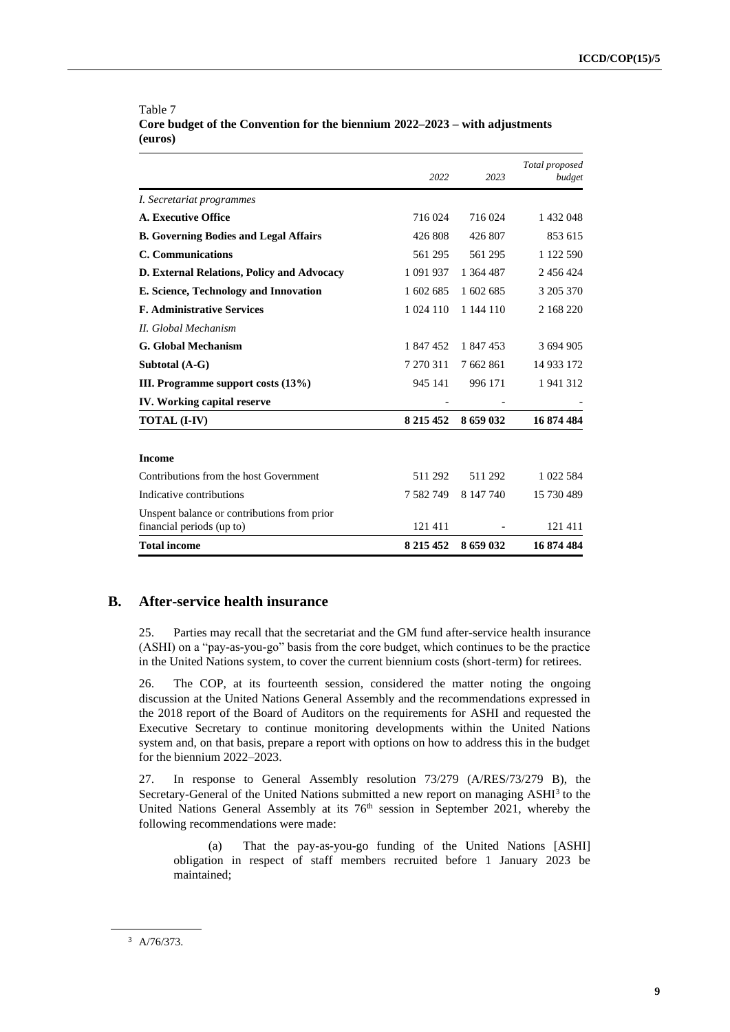|                                                                          | 2022          | 2023      | Total proposed<br>budget |
|--------------------------------------------------------------------------|---------------|-----------|--------------------------|
| <i>I. Secretariat programmes</i>                                         |               |           |                          |
| A. Executive Office                                                      | 716 024       | 716 024   | 1 432 048                |
| <b>B. Governing Bodies and Legal Affairs</b>                             | 426 808       | 426 807   | 853 615                  |
| C. Communications                                                        | 561 295       | 561 295   | 1 122 590                |
| D. External Relations, Policy and Advocacy                               | 1 091 937     | 1 364 487 | 2 456 424                |
| E. Science, Technology and Innovation                                    | 1 602 685     | 1 602 685 | 3 205 370                |
| <b>F. Administrative Services</b>                                        | 1 0 24 1 10   | 1 144 110 | 2 168 220                |
| II. Global Mechanism                                                     |               |           |                          |
| G. Global Mechanism                                                      | 1 847 452     | 1 847 453 | 3 694 905                |
| Subtotal (A-G)                                                           | 7 270 311     | 7 662 861 | 14 933 172               |
| III. Programme support costs (13%)                                       | 945 141       | 996 171   | 1941312                  |
| <b>IV.</b> Working capital reserve                                       |               |           |                          |
| <b>TOTAL (I-IV)</b>                                                      | 8 2 1 5 4 5 2 | 8 659 032 | 16874484                 |
| <b>Income</b>                                                            |               |           |                          |
| Contributions from the host Government                                   | 511 292       | 511 292   | 1 022 584                |
| Indicative contributions                                                 | 7 582 749     | 8 147 740 | 15 730 489               |
| Unspent balance or contributions from prior<br>financial periods (up to) | 121411        |           | 121 411                  |
| <b>Total income</b>                                                      | 8 2 1 5 4 5 2 | 8659032   | 16874484                 |

#### Table 7 **Core budget of the Convention for the biennium 2022–2023 – with adjustments (euros)**

### **B. After-service health insurance**

25. Parties may recall that the secretariat and the GM fund after-service health insurance (ASHI) on a "pay-as-you-go" basis from the core budget, which continues to be the practice in the United Nations system, to cover the current biennium costs (short-term) for retirees.

26. The COP, at its fourteenth session, considered the matter noting the ongoing discussion at the United Nations General Assembly and the recommendations expressed in the 2018 report of the Board of Auditors on the requirements for ASHI and requested the Executive Secretary to continue monitoring developments within the United Nations system and, on that basis, prepare a report with options on how to address this in the budget for the biennium 2022–2023.

27. In response to General Assembly resolution 73/279 (A/RES/73/279 B), the Secretary-General of the United Nations submitted a new report on managing ASHI<sup>3</sup> to the United Nations General Assembly at its  $76<sup>th</sup>$  session in September 2021, whereby the following recommendations were made:

(a) That the pay-as-you-go funding of the United Nations [ASHI] obligation in respect of staff members recruited before 1 January 2023 be maintained;

<sup>3</sup> A/76/373.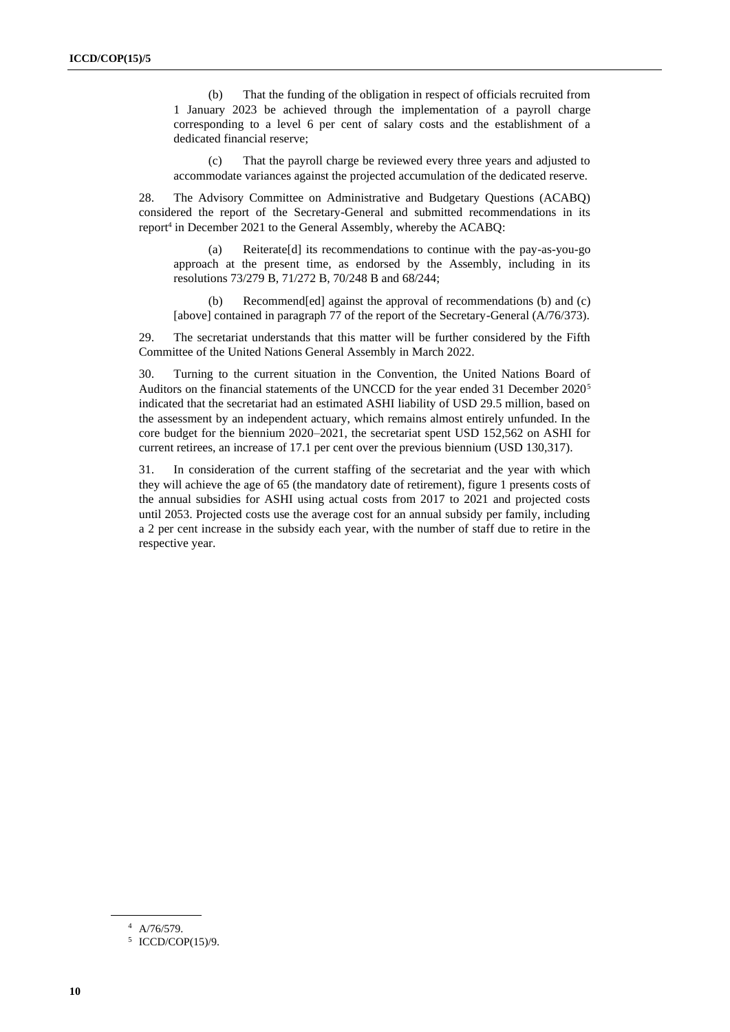(b) That the funding of the obligation in respect of officials recruited from 1 January 2023 be achieved through the implementation of a payroll charge corresponding to a level 6 per cent of salary costs and the establishment of a dedicated financial reserve;

(c) That the payroll charge be reviewed every three years and adjusted to accommodate variances against the projected accumulation of the dedicated reserve.

28. The Advisory Committee on Administrative and Budgetary Questions (ACABQ) considered the report of the Secretary-General and submitted recommendations in its report<sup>4</sup> in December 2021 to the General Assembly, whereby the ACABQ:

(a) Reiterate[d] its recommendations to continue with the pay-as-you-go approach at the present time, as endorsed by the Assembly, including in its resolutions 73/279 B, 71/272 B, 70/248 B and 68/244;

(b) Recommend[ed] against the approval of recommendations (b) and (c) [above] contained in paragraph 77 of the report of the Secretary-General (A/76/373).

29. The secretariat understands that this matter will be further considered by the Fifth Committee of the United Nations General Assembly in March 2022.

30. Turning to the current situation in the Convention, the United Nations Board of Auditors on the financial statements of the UNCCD for the year ended 31 December 2020<sup>5</sup> indicated that the secretariat had an estimated ASHI liability of USD 29.5 million, based on the assessment by an independent actuary, which remains almost entirely unfunded. In the core budget for the biennium 2020–2021, the secretariat spent USD 152,562 on ASHI for current retirees, an increase of 17.1 per cent over the previous biennium (USD 130,317).

31. In consideration of the current staffing of the secretariat and the year with which they will achieve the age of 65 (the mandatory date of retirement), figure 1 presents costs of the annual subsidies for ASHI using actual costs from 2017 to 2021 and projected costs until 2053. Projected costs use the average cost for an annual subsidy per family, including a 2 per cent increase in the subsidy each year, with the number of staff due to retire in the respective year.

<sup>4</sup> A/76/579.

<sup>5</sup> ICCD/COP(15)/9.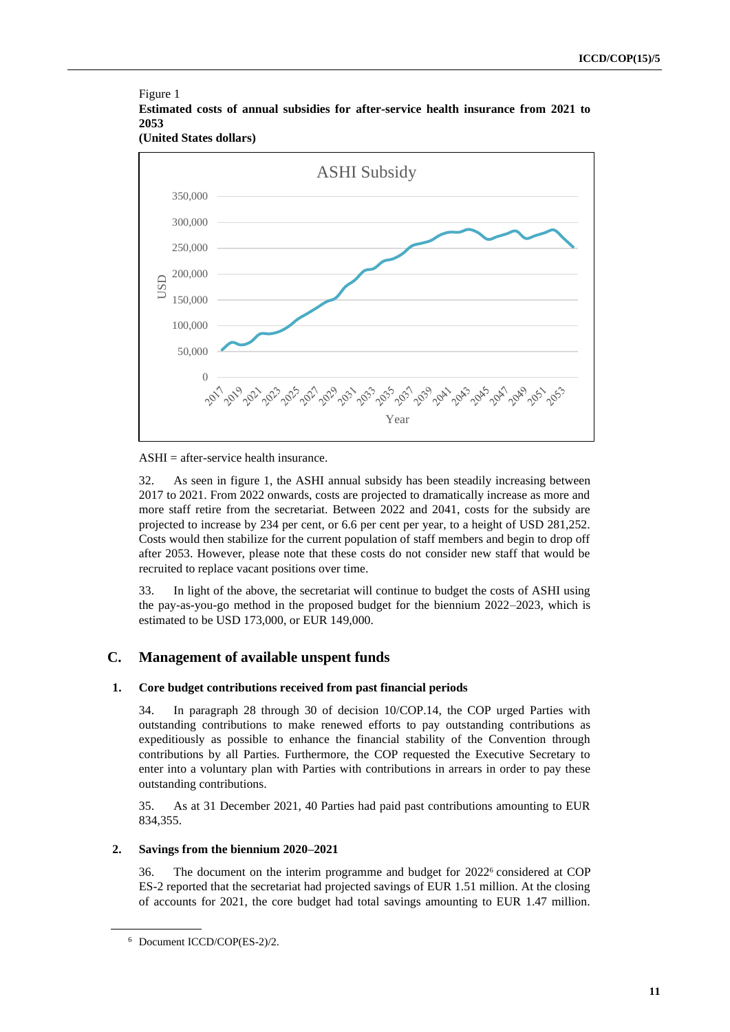

**(United States dollars)**



#### ASHI = after-service health insurance.

32. As seen in figure 1, the ASHI annual subsidy has been steadily increasing between 2017 to 2021. From 2022 onwards, costs are projected to dramatically increase as more and more staff retire from the secretariat. Between 2022 and 2041, costs for the subsidy are projected to increase by 234 per cent, or 6.6 per cent per year, to a height of USD 281,252. Costs would then stabilize for the current population of staff members and begin to drop off after 2053. However, please note that these costs do not consider new staff that would be recruited to replace vacant positions over time.

33. In light of the above, the secretariat will continue to budget the costs of ASHI using the pay-as-you-go method in the proposed budget for the biennium 2022–2023, which is estimated to be USD 173,000, or EUR 149,000.

## **C. Management of available unspent funds**

#### **1. Core budget contributions received from past financial periods**

34. In paragraph 28 through 30 of decision 10/COP.14, the COP urged Parties with outstanding contributions to make renewed efforts to pay outstanding contributions as expeditiously as possible to enhance the financial stability of the Convention through contributions by all Parties. Furthermore, the COP requested the Executive Secretary to enter into a voluntary plan with Parties with contributions in arrears in order to pay these outstanding contributions.

35. As at 31 December 2021, 40 Parties had paid past contributions amounting to EUR 834,355.

### <span id="page-10-0"></span>**2. Savings from the biennium 2020–2021**

36. The document on the interim programme and budget for  $2022^6$  considered at COP ES-2 reported that the secretariat had projected savings of EUR 1.51 million. At the closing of accounts for 2021, the core budget had total savings amounting to EUR 1.47 million.

<sup>6</sup> Document ICCD/COP(ES-2)/2.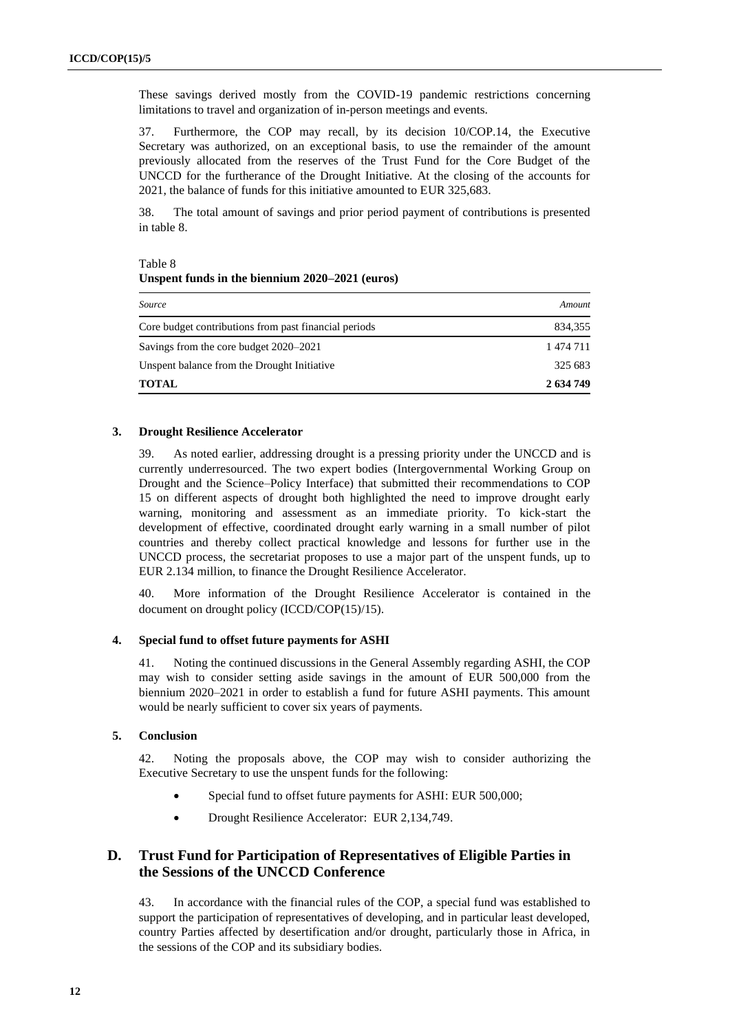These savings derived mostly from the COVID-19 pandemic restrictions concerning limitations to travel and organization of in-person meetings and events.

37. Furthermore, the COP may recall, by its decision 10/COP.14, the Executive Secretary was authorized, on an exceptional basis, to use the remainder of the amount previously allocated from the reserves of the Trust Fund for the Core Budget of the UNCCD for the furtherance of the Drought Initiative. At the closing of the accounts for 2021, the balance of funds for this initiative amounted to EUR 325,683.

38. The total amount of savings and prior period payment of contributions is presented in table 8.

| lable 8                                         |  |
|-------------------------------------------------|--|
| Unspent funds in the biennium 2020–2021 (euros) |  |

| Source                                                | Amount    |
|-------------------------------------------------------|-----------|
| Core budget contributions from past financial periods | 834,355   |
| Savings from the core budget 2020–2021                | 1 474 711 |
| Unspent balance from the Drought Initiative           | 325 683   |
| <b>TOTAL</b>                                          | 2 634 749 |

#### **3. Drought Resilience Accelerator**

 $T_{\rm B}$  1.1  $\Omega$ 

39. As noted earlier, addressing drought is a pressing priority under the UNCCD and is currently underresourced. The two expert bodies (Intergovernmental Working Group on Drought and the Science–Policy Interface) that submitted their recommendations to COP 15 on different aspects of drought both highlighted the need to improve drought early warning, monitoring and assessment as an immediate priority. To kick-start the development of effective, coordinated drought early warning in a small number of pilot countries and thereby collect practical knowledge and lessons for further use in the UNCCD process, the secretariat proposes to use a major part of the unspent funds, up to EUR 2.134 million, to finance the Drought Resilience Accelerator.

40. More information of the Drought Resilience Accelerator is contained in the document on drought policy (ICCD/COP(15)/15).

#### **4. Special fund to offset future payments for ASHI**

41. Noting the continued discussions in the General Assembly regarding ASHI, the COP may wish to consider setting aside savings in the amount of EUR 500,000 from the biennium 2020–2021 in order to establish a fund for future ASHI payments. This amount would be nearly sufficient to cover six years of payments.

#### <span id="page-11-0"></span>**5. Conclusion**

42. Noting the proposals above, the COP may wish to consider authorizing the Executive Secretary to use the unspent funds for the following:

- Special fund to offset future payments for ASHI: EUR 500,000;
- Drought Resilience Accelerator: EUR 2,134,749.

## **D. Trust Fund for Participation of Representatives of Eligible Parties in the Sessions of the UNCCD Conference**

43. In accordance with the financial rules of the COP, a special fund was established to support the participation of representatives of developing, and in particular least developed, country Parties affected by desertification and/or drought, particularly those in Africa, in the sessions of the COP and its subsidiary bodies.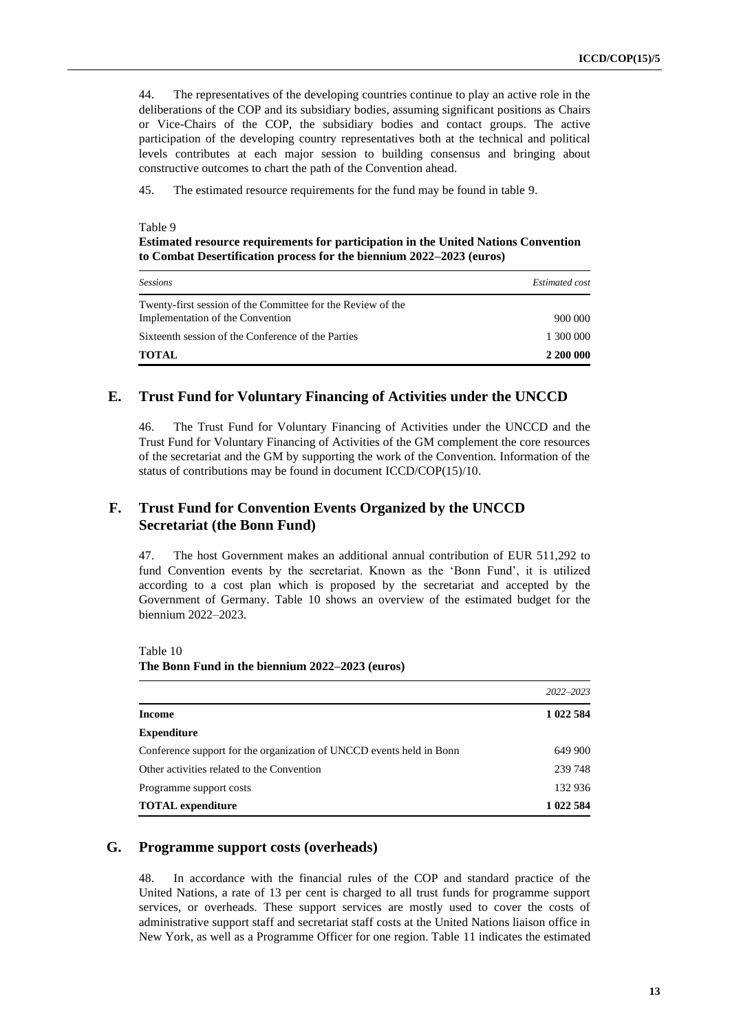44. The representatives of the developing countries continue to play an active role in the deliberations of the COP and its subsidiary bodies, assuming significant positions as Chairs or Vice-Chairs of the COP, the subsidiary bodies and contact groups. The active participation of the developing country representatives both at the technical and political levels contributes at each major session to building consensus and bringing about constructive outcomes to chart the path of the Convention ahead.

45. The estimated resource requirements for the fund may be found in table 9.

#### Table 9

**Estimated resource requirements for participation in the United Nations Convention to Combat Desertification process for the biennium 2022–2023 (euros)**

| <b>Sessions</b>                                                                                 | Estimated cost |
|-------------------------------------------------------------------------------------------------|----------------|
| Twenty-first session of the Committee for the Review of the<br>Implementation of the Convention | 900 000        |
| Sixteenth session of the Conference of the Parties                                              | 1 300 000      |
| TOTAL                                                                                           | 2 200 000      |

#### **E. Trust Fund for Voluntary Financing of Activities under the UNCCD**

46. The Trust Fund for Voluntary Financing of Activities under the UNCCD and the Trust Fund for Voluntary Financing of Activities of the GM complement the core resources of the secretariat and the GM by supporting the work of the Convention. Information of the status of contributions may be found in document ICCD/COP(15)/10.

## **F. Trust Fund for Convention Events Organized by the UNCCD Secretariat (the Bonn Fund)**

47. The host Government makes an additional annual contribution of EUR 511,292 to fund Convention events by the secretariat. Known as the 'Bonn Fund', it is utilized according to a cost plan which is proposed by the secretariat and accepted by the Government of Germany. Table 10 shows an overview of the estimated budget for the biennium 2022–2023.

Table 10 **The Bonn Fund in the biennium 2022–2023 (euros)**

|                                                                      | $2022 - 2023$ |
|----------------------------------------------------------------------|---------------|
| Income                                                               | 1 022 584     |
| <b>Expenditure</b>                                                   |               |
| Conference support for the organization of UNCCD events held in Bonn | 649 900       |
| Other activities related to the Convention                           | 239 748       |
| Programme support costs                                              | 132 936       |
| <b>TOTAL</b> expenditure                                             | 1 022 584     |

#### **G. Programme support costs (overheads)**

48. In accordance with the financial rules of the COP and standard practice of the United Nations, a rate of 13 per cent is charged to all trust funds for programme support services, or overheads. These support services are mostly used to cover the costs of administrative support staff and secretariat staff costs at the United Nations liaison office in New York, as well as a Programme Officer for one region. Table 11 indicates the estimated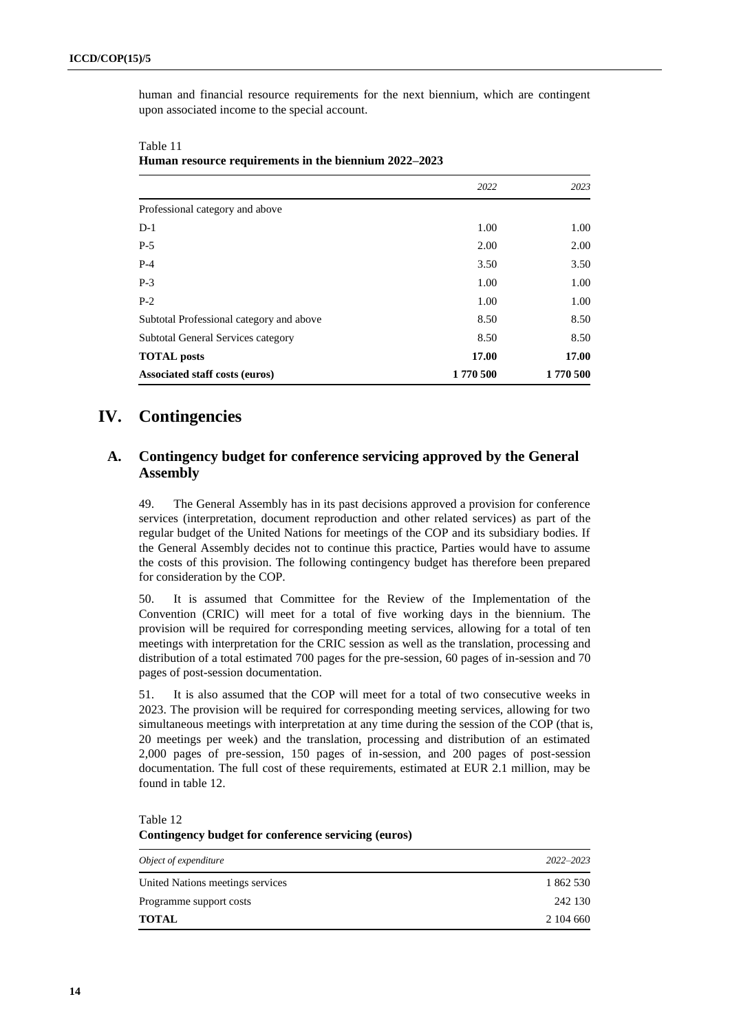human and financial resource requirements for the next biennium, which are contingent upon associated income to the special account.

| Associated staff costs (euros)            | 1770 500 | 1770 500 |
|-------------------------------------------|----------|----------|
| <b>TOTAL</b> posts                        | 17.00    | 17.00    |
| <b>Subtotal General Services category</b> | 8.50     | 8.50     |
| Subtotal Professional category and above  | 8.50     | 8.50     |
| $P-2$                                     | 1.00     | 1.00     |
| $P-3$                                     | 1.00     | 1.00     |
| $P-4$                                     | 3.50     | 3.50     |
| $P-5$                                     | 2.00     | 2.00     |
| $D-1$                                     | 1.00     | 1.00     |
| Professional category and above           |          |          |
|                                           | 2022     | 2023     |

| Table 11                                              |  |
|-------------------------------------------------------|--|
| Human resource requirements in the biennium 2022–2023 |  |

## **IV. Contingencies**

## **A. Contingency budget for conference servicing approved by the General Assembly**

49. The General Assembly has in its past decisions approved a provision for conference services (interpretation, document reproduction and other related services) as part of the regular budget of the United Nations for meetings of the COP and its subsidiary bodies. If the General Assembly decides not to continue this practice, Parties would have to assume the costs of this provision. The following contingency budget has therefore been prepared for consideration by the COP.

50. It is assumed that Committee for the Review of the Implementation of the Convention (CRIC) will meet for a total of five working days in the biennium. The provision will be required for corresponding meeting services, allowing for a total of ten meetings with interpretation for the CRIC session as well as the translation, processing and distribution of a total estimated 700 pages for the pre-session, 60 pages of in-session and 70 pages of post-session documentation.

51. It is also assumed that the COP will meet for a total of two consecutive weeks in 2023. The provision will be required for corresponding meeting services, allowing for two simultaneous meetings with interpretation at any time during the session of the COP (that is, 20 meetings per week) and the translation, processing and distribution of an estimated 2,000 pages of pre-session, 150 pages of in-session, and 200 pages of post-session documentation. The full cost of these requirements, estimated at EUR 2.1 million, may be found in table 12.

| Object of expenditure            | $2022 - 2023$ |
|----------------------------------|---------------|
| United Nations meetings services | 1 862 530     |
| Programme support costs          | 242 130       |
| TOTAL                            | 2 104 660     |

Table 12 **Contingency budget for conference servicing (euros)**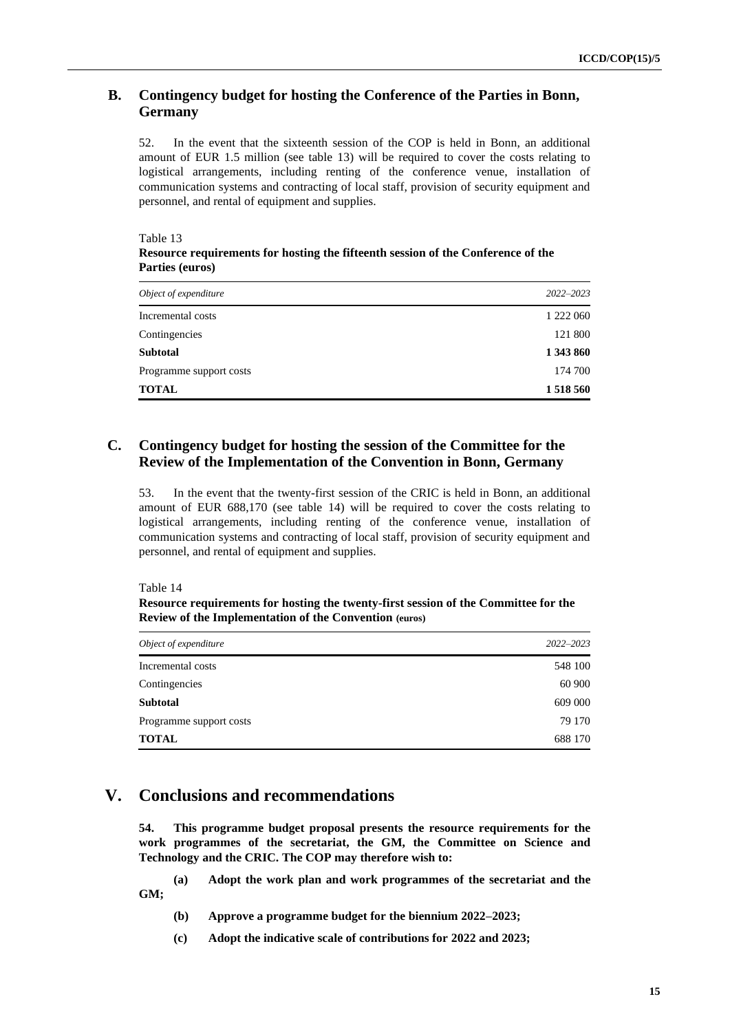### **B. Contingency budget for hosting the Conference of the Parties in Bonn, Germany**

52. In the event that the sixteenth session of the COP is held in Bonn, an additional amount of EUR 1.5 million (see table 13) will be required to cover the costs relating to logistical arrangements, including renting of the conference venue, installation of communication systems and contracting of local staff, provision of security equipment and personnel, and rental of equipment and supplies.

Table 13

| Resource requirements for hosting the fifteenth session of the Conference of the |
|----------------------------------------------------------------------------------|
| Parties (euros)                                                                  |

| Object of expenditure   | $2022 - 2023$ |
|-------------------------|---------------|
| Incremental costs       | 1 222 060     |
| Contingencies           | 121 800       |
| <b>Subtotal</b>         | 1 343 860     |
| Programme support costs | 174 700       |
| <b>TOTAL</b>            | 1 518 560     |

## **C. Contingency budget for hosting the session of the Committee for the Review of the Implementation of the Convention in Bonn, Germany**

53. In the event that the twenty-first session of the CRIC is held in Bonn, an additional amount of EUR 688,170 (see table 14) will be required to cover the costs relating to logistical arrangements, including renting of the conference venue, installation of communication systems and contracting of local staff, provision of security equipment and personnel, and rental of equipment and supplies.

Table 14

**Resource requirements for hosting the twenty-first session of the Committee for the Review of the Implementation of the Convention (euros)**

| Object of expenditure   | 2022-2023 |
|-------------------------|-----------|
| Incremental costs       | 548 100   |
| Contingencies           | 60 900    |
| <b>Subtotal</b>         | 609 000   |
| Programme support costs | 79 170    |
| <b>TOTAL</b>            | 688 170   |

## **V. Conclusions and recommendations**

**54. This programme budget proposal presents the resource requirements for the work programmes of the secretariat, the GM, the Committee on Science and Technology and the CRIC. The COP may therefore wish to:**

**(a) Adopt the work plan and work programmes of the secretariat and the GM;**

- **(b) Approve a programme budget for the biennium 2022–2023;**
- **(c) Adopt the indicative scale of contributions for 2022 and 2023;**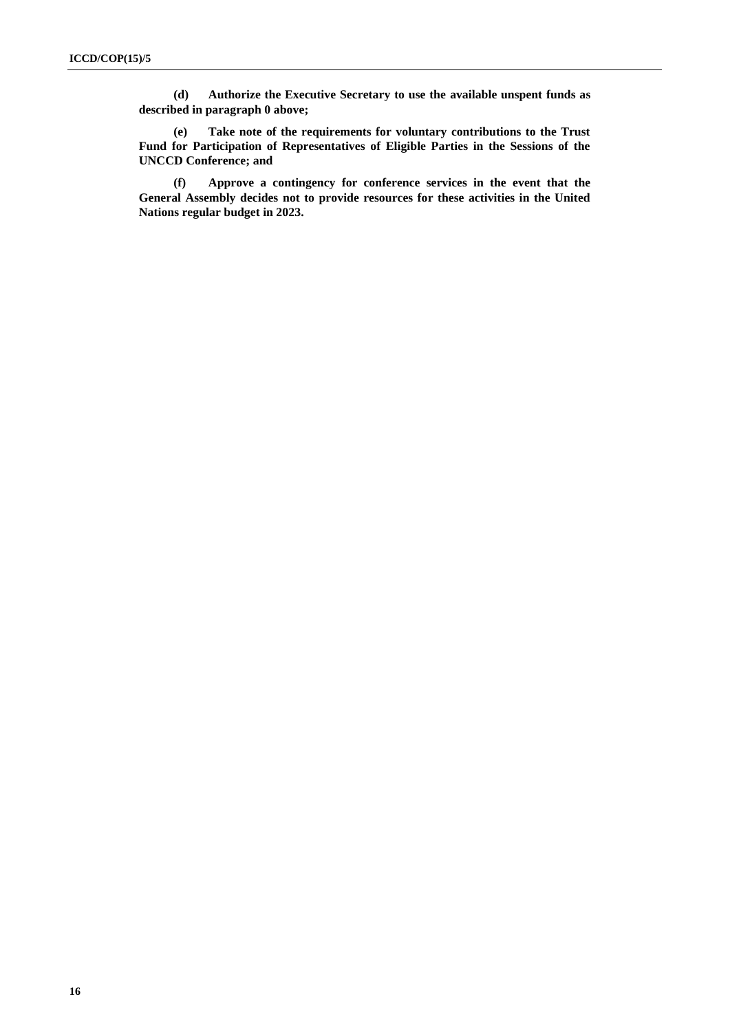**(d) Authorize the Executive Secretary to use the available unspent funds as described in paragraph [0 above;](#page-11-0)**

**(e) Take note of the requirements for voluntary contributions to the Trust Fund for Participation of Representatives of Eligible Parties in the Sessions of the UNCCD Conference; and**

**(f) Approve a contingency for conference services in the event that the General Assembly decides not to provide resources for these activities in the United Nations regular budget in 2023.**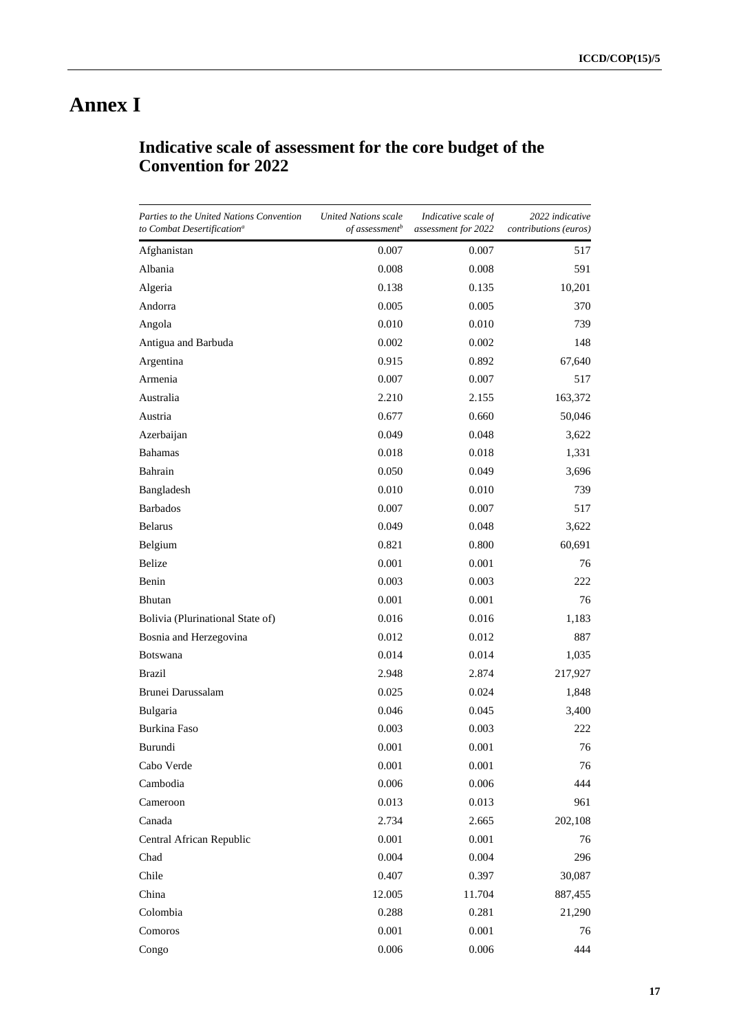# **Annex I**

| Indicative scale of assessment for the core budget of the |  |  |
|-----------------------------------------------------------|--|--|
| <b>Convention for 2022</b>                                |  |  |

| Parties to the United Nations Convention<br>to Combat Desertification <sup>a</sup> | United Nations scale<br>of assessment <sup>b</sup> | Indicative scale of<br>assessment for 2022 | 2022 indicative<br><i>contributions</i> ( <i>euros</i> ) |
|------------------------------------------------------------------------------------|----------------------------------------------------|--------------------------------------------|----------------------------------------------------------|
| Afghanistan                                                                        | 0.007                                              | 0.007                                      | 517                                                      |
| Albania                                                                            | 0.008                                              | 0.008                                      | 591                                                      |
| Algeria                                                                            | 0.138                                              | 0.135                                      | 10,201                                                   |
| Andorra                                                                            | 0.005                                              | 0.005                                      | 370                                                      |
| Angola                                                                             | 0.010                                              | 0.010                                      | 739                                                      |
| Antigua and Barbuda                                                                | 0.002                                              | 0.002                                      | 148                                                      |
| Argentina                                                                          | 0.915                                              | 0.892                                      | 67,640                                                   |
| Armenia                                                                            | 0.007                                              | 0.007                                      | 517                                                      |
| Australia                                                                          | 2.210                                              | 2.155                                      | 163,372                                                  |
| Austria                                                                            | 0.677                                              | 0.660                                      | 50,046                                                   |
| Azerbaijan                                                                         | 0.049                                              | 0.048                                      | 3,622                                                    |
| <b>Bahamas</b>                                                                     | 0.018                                              | 0.018                                      | 1,331                                                    |
| Bahrain                                                                            | 0.050                                              | 0.049                                      | 3,696                                                    |
| Bangladesh                                                                         | 0.010                                              | 0.010                                      | 739                                                      |
| <b>Barbados</b>                                                                    | 0.007                                              | 0.007                                      | 517                                                      |
| <b>Belarus</b>                                                                     | 0.049                                              | 0.048                                      | 3,622                                                    |
| Belgium                                                                            | 0.821                                              | 0.800                                      | 60,691                                                   |
| Belize                                                                             | 0.001                                              | 0.001                                      | 76                                                       |
| Benin                                                                              | 0.003                                              | 0.003                                      | 222                                                      |
| <b>Bhutan</b>                                                                      | 0.001                                              | 0.001                                      | 76                                                       |
| Bolivia (Plurinational State of)                                                   | 0.016                                              | 0.016                                      | 1,183                                                    |
| Bosnia and Herzegovina                                                             | 0.012                                              | 0.012                                      | 887                                                      |
| <b>Botswana</b>                                                                    | 0.014                                              | 0.014                                      | 1,035                                                    |
| <b>Brazil</b>                                                                      | 2.948                                              | 2.874                                      | 217,927                                                  |
| Brunei Darussalam                                                                  | 0.025                                              | 0.024                                      | 1,848                                                    |
| Bulgaria                                                                           | 0.046                                              | 0.045                                      | 3,400                                                    |
| Burkina Faso                                                                       | 0.003                                              | 0.003                                      | 222                                                      |
| Burundi                                                                            | 0.001                                              | 0.001                                      | 76                                                       |
| Cabo Verde                                                                         | 0.001                                              | 0.001                                      | 76                                                       |
| Cambodia                                                                           | 0.006                                              | 0.006                                      | 444                                                      |
| Cameroon                                                                           | 0.013                                              | 0.013                                      | 961                                                      |
| Canada                                                                             | 2.734                                              | 2.665                                      | 202,108                                                  |
| Central African Republic                                                           | 0.001                                              | 0.001                                      | 76                                                       |
| Chad                                                                               | 0.004                                              | 0.004                                      | 296                                                      |
| Chile                                                                              | 0.407                                              | 0.397                                      | 30,087                                                   |
| China                                                                              | 12.005                                             | 11.704                                     | 887,455                                                  |
| Colombia                                                                           | 0.288                                              | 0.281                                      | 21,290                                                   |
| Comoros                                                                            | 0.001                                              | 0.001                                      | 76                                                       |
| Congo                                                                              | 0.006                                              | 0.006                                      | 444                                                      |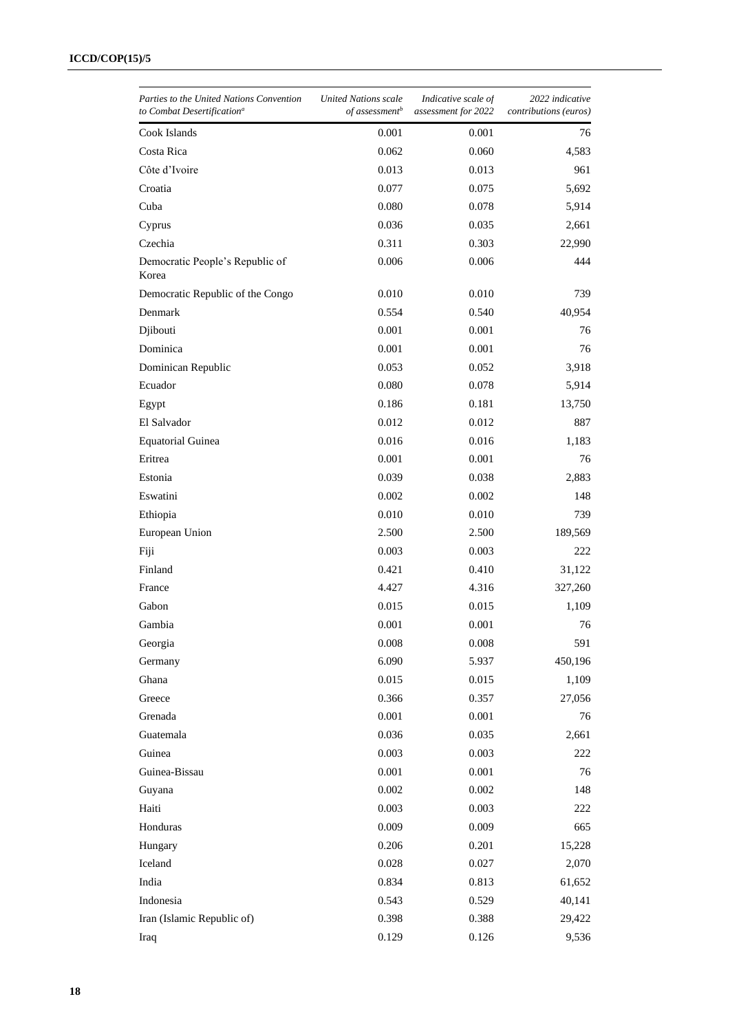| Parties to the United Nations Convention<br>to Combat Desertification <sup>a</sup> | United Nations scale<br>of assessment <sup>b</sup> | Indicative scale of<br>assessment for 2022 | 2022 indicative<br><i>contributions</i> ( <i>euros</i> ) |
|------------------------------------------------------------------------------------|----------------------------------------------------|--------------------------------------------|----------------------------------------------------------|
| Cook Islands                                                                       | 0.001                                              | 0.001                                      | 76                                                       |
| Costa Rica                                                                         | 0.062                                              | 0.060                                      | 4,583                                                    |
| Côte d'Ivoire                                                                      | 0.013                                              | 0.013                                      | 961                                                      |
| Croatia                                                                            | 0.077                                              | 0.075                                      | 5,692                                                    |
| Cuba                                                                               | 0.080                                              | 0.078                                      | 5,914                                                    |
| Cyprus                                                                             | 0.036                                              | 0.035                                      | 2,661                                                    |
| Czechia                                                                            | 0.311                                              | 0.303                                      | 22,990                                                   |
| Democratic People's Republic of<br>Korea                                           | 0.006                                              | 0.006                                      | 444                                                      |
| Democratic Republic of the Congo                                                   | 0.010                                              | 0.010                                      | 739                                                      |
| Denmark                                                                            | 0.554                                              | 0.540                                      | 40,954                                                   |
| Djibouti                                                                           | 0.001                                              | 0.001                                      | 76                                                       |
| Dominica                                                                           | 0.001                                              | 0.001                                      | 76                                                       |
| Dominican Republic                                                                 | 0.053                                              | 0.052                                      | 3,918                                                    |
| Ecuador                                                                            | 0.080                                              | 0.078                                      | 5,914                                                    |
| Egypt                                                                              | 0.186                                              | 0.181                                      | 13,750                                                   |
| El Salvador                                                                        | 0.012                                              | 0.012                                      | 887                                                      |
| <b>Equatorial Guinea</b>                                                           | 0.016                                              | 0.016                                      | 1,183                                                    |
| Eritrea                                                                            | 0.001                                              | 0.001                                      | 76                                                       |
| Estonia                                                                            | 0.039                                              | 0.038                                      | 2,883                                                    |
| Eswatini                                                                           | 0.002                                              | 0.002                                      | 148                                                      |
| Ethiopia                                                                           | 0.010                                              | 0.010                                      | 739                                                      |
| European Union                                                                     | 2.500                                              | 2.500                                      | 189,569                                                  |
| Fiji                                                                               | 0.003                                              | 0.003                                      | 222                                                      |
| Finland                                                                            | 0.421                                              | 0.410                                      | 31,122                                                   |
| France                                                                             | 4.427                                              | 4.316                                      | 327,260                                                  |
| Gabon                                                                              | 0.015                                              | 0.015                                      | 1,109                                                    |
| Gambia                                                                             | 0.001                                              | 0.001                                      | 76                                                       |
| Georgia                                                                            | 0.008                                              | 0.008                                      | 591                                                      |
| Germany                                                                            | 6.090                                              | 5.937                                      | 450,196                                                  |
| Ghana                                                                              | 0.015                                              | 0.015                                      | 1,109                                                    |
| Greece                                                                             | 0.366                                              | 0.357                                      | 27,056                                                   |
| Grenada                                                                            | 0.001                                              | 0.001                                      | 76                                                       |
| Guatemala                                                                          | 0.036                                              | 0.035                                      | 2,661                                                    |
| Guinea                                                                             | 0.003                                              | 0.003                                      | 222                                                      |
| Guinea-Bissau                                                                      | 0.001                                              | 0.001                                      | 76                                                       |
| Guyana                                                                             | 0.002                                              | 0.002                                      | 148                                                      |
| Haiti                                                                              | 0.003                                              | 0.003                                      | 222                                                      |
| Honduras                                                                           | 0.009                                              | 0.009                                      | 665                                                      |
| Hungary                                                                            | 0.206                                              | 0.201                                      | 15,228                                                   |
| Iceland                                                                            | 0.028                                              | 0.027                                      | 2,070                                                    |
| India                                                                              | 0.834                                              | 0.813                                      | 61,652                                                   |
| Indonesia                                                                          | 0.543                                              | 0.529                                      | 40,141                                                   |
| Iran (Islamic Republic of)                                                         | 0.398                                              | 0.388                                      | 29,422                                                   |
| Iraq                                                                               | 0.129                                              | 0.126                                      | 9,536                                                    |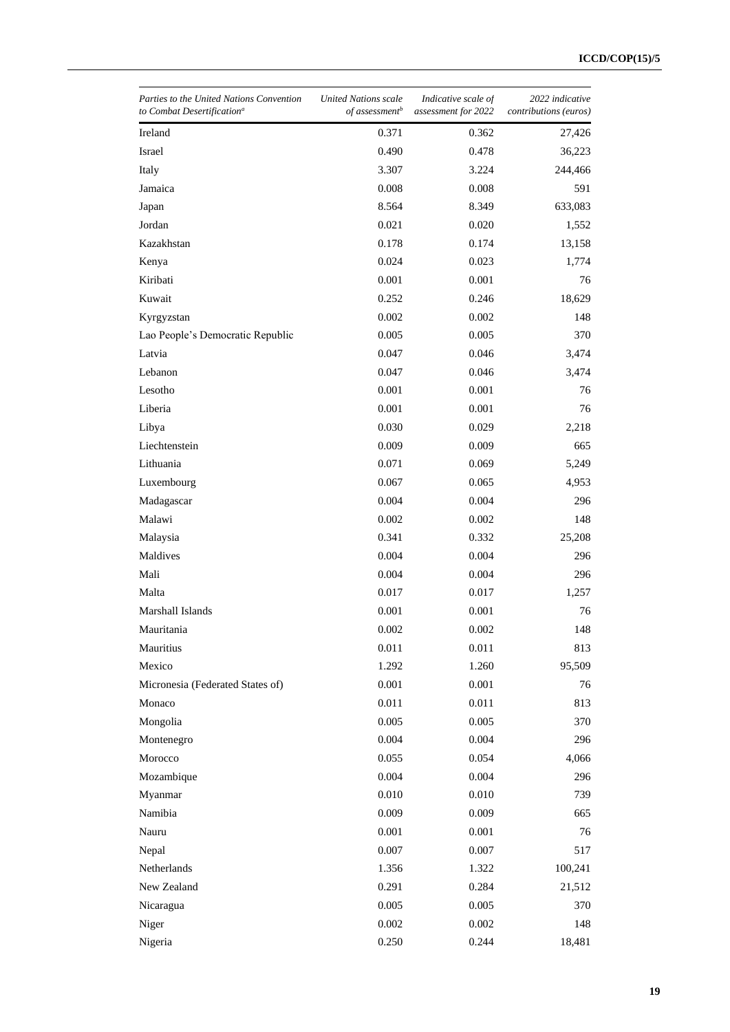| Parties to the United Nations Convention<br>to Combat Desertification <sup>a</sup> | United Nations scale<br>of assessment <sup>b</sup> | Indicative scale of<br>assessment for 2022 | 2022 indicative<br>contributions (euros) |
|------------------------------------------------------------------------------------|----------------------------------------------------|--------------------------------------------|------------------------------------------|
| Ireland                                                                            | 0.371                                              | 0.362                                      | 27,426                                   |
| Israel                                                                             | 0.490                                              | 0.478                                      | 36,223                                   |
| Italy                                                                              | 3.307                                              | 3.224                                      | 244,466                                  |
| Jamaica                                                                            | 0.008                                              | 0.008                                      | 591                                      |
| Japan                                                                              | 8.564                                              | 8.349                                      | 633,083                                  |
| Jordan                                                                             | 0.021                                              | 0.020                                      | 1,552                                    |
| Kazakhstan                                                                         | 0.178                                              | 0.174                                      | 13,158                                   |
| Kenya                                                                              | 0.024                                              | 0.023                                      | 1,774                                    |
| Kiribati                                                                           | 0.001                                              | 0.001                                      | 76                                       |
| Kuwait                                                                             | 0.252                                              | 0.246                                      | 18,629                                   |
| Kyrgyzstan                                                                         | 0.002                                              | 0.002                                      | 148                                      |
| Lao People's Democratic Republic                                                   | 0.005                                              | 0.005                                      | 370                                      |
| Latvia                                                                             | 0.047                                              | 0.046                                      | 3,474                                    |
| Lebanon                                                                            | 0.047                                              | 0.046                                      | 3,474                                    |
| Lesotho                                                                            | 0.001                                              | 0.001                                      | 76                                       |
| Liberia                                                                            | 0.001                                              | 0.001                                      | 76                                       |
| Libya                                                                              | 0.030                                              | 0.029                                      | 2,218                                    |
| Liechtenstein                                                                      | 0.009                                              | 0.009                                      | 665                                      |
| Lithuania                                                                          | 0.071                                              | 0.069                                      | 5,249                                    |
| Luxembourg                                                                         | 0.067                                              | 0.065                                      | 4,953                                    |
| Madagascar                                                                         | 0.004                                              | 0.004                                      | 296                                      |
| Malawi                                                                             | 0.002                                              | 0.002                                      | 148                                      |
| Malaysia                                                                           | 0.341                                              | 0.332                                      | 25,208                                   |
| Maldives                                                                           | 0.004                                              | 0.004                                      | 296                                      |
| Mali                                                                               | 0.004                                              | 0.004                                      | 296                                      |
| Malta                                                                              | 0.017                                              | 0.017                                      | 1,257                                    |
| Marshall Islands                                                                   | 0.001                                              | 0.001                                      | 76                                       |
| Mauritania                                                                         | 0.002                                              | 0.002                                      | 148                                      |
| Mauritius                                                                          | 0.011                                              | 0.011                                      | 813                                      |
| Mexico                                                                             | 1.292                                              | 1.260                                      | 95,509                                   |
| Micronesia (Federated States of)                                                   | 0.001                                              | 0.001                                      | 76                                       |
| Monaco                                                                             | 0.011                                              | 0.011                                      | 813                                      |
| Mongolia                                                                           | 0.005                                              | 0.005                                      | 370                                      |
| Montenegro                                                                         | 0.004                                              | 0.004                                      | 296                                      |
| Morocco                                                                            | 0.055                                              | 0.054                                      | 4,066                                    |
| Mozambique                                                                         | 0.004                                              | 0.004                                      | 296                                      |
| Myanmar                                                                            | 0.010                                              | 0.010                                      | 739                                      |
| Namibia                                                                            | 0.009                                              | 0.009                                      | 665                                      |
| Nauru                                                                              | 0.001                                              | 0.001                                      | 76                                       |
| Nepal                                                                              | 0.007                                              | 0.007                                      | 517                                      |
| Netherlands                                                                        | 1.356                                              | 1.322                                      | 100,241                                  |
| New Zealand                                                                        | 0.291                                              | 0.284                                      | 21,512                                   |
| Nicaragua                                                                          | 0.005                                              | 0.005                                      | 370                                      |
| Niger                                                                              | 0.002                                              | 0.002                                      | 148                                      |
| Nigeria                                                                            | 0.250                                              | 0.244                                      | 18,481                                   |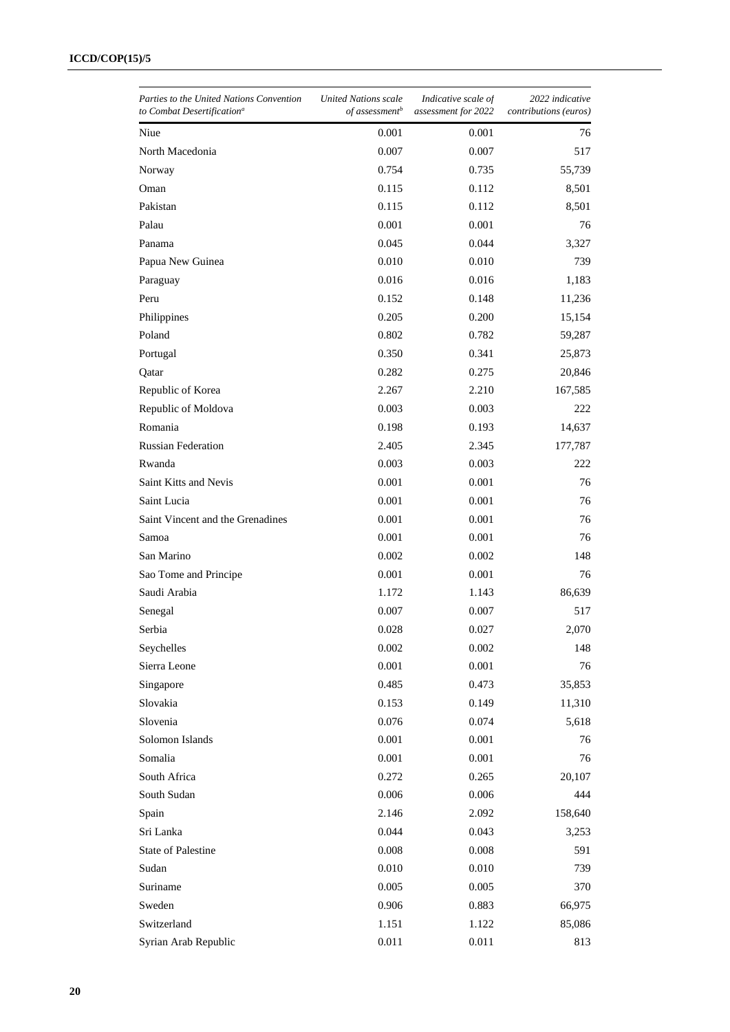| Parties to the United Nations Convention<br>to Combat Desertification <sup>a</sup> | United Nations scale<br>of assessment <sup>b</sup> | Indicative scale of<br>assessment for 2022 | 2022 indicative<br><i>contributions</i> ( <i>euros</i> ) |
|------------------------------------------------------------------------------------|----------------------------------------------------|--------------------------------------------|----------------------------------------------------------|
| Niue                                                                               | 0.001                                              | 0.001                                      | 76                                                       |
| North Macedonia                                                                    | 0.007                                              | 0.007                                      | 517                                                      |
| Norway                                                                             | 0.754                                              | 0.735                                      | 55,739                                                   |
| Oman                                                                               | 0.115                                              | 0.112                                      | 8,501                                                    |
| Pakistan                                                                           | 0.115                                              | 0.112                                      | 8,501                                                    |
| Palau                                                                              | 0.001                                              | 0.001                                      | 76                                                       |
| Panama                                                                             | 0.045                                              | 0.044                                      | 3,327                                                    |
| Papua New Guinea                                                                   | 0.010                                              | 0.010                                      | 739                                                      |
| Paraguay                                                                           | 0.016                                              | 0.016                                      | 1,183                                                    |
| Peru                                                                               | 0.152                                              | 0.148                                      | 11,236                                                   |
| Philippines                                                                        | 0.205                                              | 0.200                                      | 15,154                                                   |
| Poland                                                                             | 0.802                                              | 0.782                                      | 59,287                                                   |
| Portugal                                                                           | 0.350                                              | 0.341                                      | 25,873                                                   |
| Qatar                                                                              | 0.282                                              | 0.275                                      | 20,846                                                   |
| Republic of Korea                                                                  | 2.267                                              | 2.210                                      | 167,585                                                  |
| Republic of Moldova                                                                | 0.003                                              | 0.003                                      | 222                                                      |
| Romania                                                                            | 0.198                                              | 0.193                                      | 14,637                                                   |
| <b>Russian Federation</b>                                                          | 2.405                                              | 2.345                                      | 177,787                                                  |
| Rwanda                                                                             | 0.003                                              | 0.003                                      | 222                                                      |
| Saint Kitts and Nevis                                                              | 0.001                                              | 0.001                                      | 76                                                       |
| Saint Lucia                                                                        | 0.001                                              | 0.001                                      | 76                                                       |
| Saint Vincent and the Grenadines                                                   | 0.001                                              | 0.001                                      | 76                                                       |
| Samoa                                                                              | 0.001                                              | 0.001                                      | 76                                                       |
| San Marino                                                                         | 0.002                                              | 0.002                                      | 148                                                      |
| Sao Tome and Principe                                                              | 0.001                                              | 0.001                                      | 76                                                       |
| Saudi Arabia                                                                       | 1.172                                              | 1.143                                      | 86,639                                                   |
| Senegal                                                                            | 0.007                                              | 0.007                                      | 517                                                      |
| Serbia                                                                             | 0.028                                              | 0.027                                      | 2,070                                                    |
| Seychelles                                                                         | 0.002                                              | 0.002                                      | 148                                                      |
| Sierra Leone                                                                       | 0.001                                              | 0.001                                      | 76                                                       |
| Singapore                                                                          | 0.485                                              | 0.473                                      | 35,853                                                   |
| Slovakia                                                                           | 0.153                                              | 0.149                                      | 11,310                                                   |
| Slovenia                                                                           | 0.076                                              | 0.074                                      | 5,618                                                    |
| Solomon Islands                                                                    | 0.001                                              | 0.001                                      | 76                                                       |
| Somalia                                                                            | 0.001                                              | 0.001                                      | 76                                                       |
| South Africa                                                                       | 0.272                                              | 0.265                                      | 20,107                                                   |
| South Sudan                                                                        | 0.006                                              | 0.006                                      | 444                                                      |
| Spain                                                                              | 2.146                                              | 2.092                                      | 158,640                                                  |
| Sri Lanka                                                                          | 0.044                                              | 0.043                                      | 3,253                                                    |
| <b>State of Palestine</b>                                                          | 0.008                                              | 0.008                                      | 591                                                      |
| Sudan                                                                              | 0.010                                              | 0.010                                      | 739                                                      |
| Suriname                                                                           | 0.005                                              | 0.005                                      | 370                                                      |
| Sweden                                                                             | 0.906                                              | 0.883                                      | 66,975                                                   |
| Switzerland                                                                        | 1.151                                              | 1.122                                      | 85,086                                                   |
| Syrian Arab Republic                                                               | 0.011                                              | 0.011                                      | 813                                                      |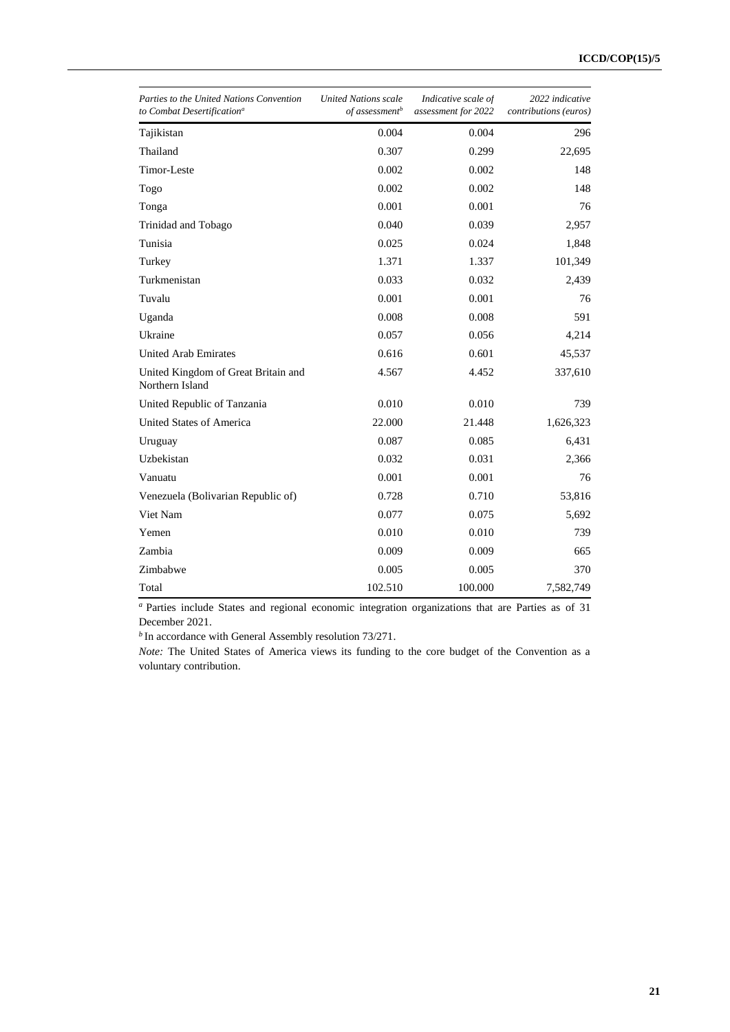| Parties to the United Nations Convention<br>to Combat Desertification <sup>a</sup> | <b>United Nations scale</b><br>of assessment <sup>b</sup> | Indicative scale of<br>assessment for 2022 | 2022 indicative<br>contributions (euros) |
|------------------------------------------------------------------------------------|-----------------------------------------------------------|--------------------------------------------|------------------------------------------|
| Tajikistan                                                                         | 0.004                                                     | 0.004                                      | 296                                      |
| Thailand                                                                           | 0.307                                                     | 0.299                                      | 22,695                                   |
| Timor-Leste                                                                        | 0.002                                                     | 0.002                                      | 148                                      |
| Togo                                                                               | 0.002                                                     | 0.002                                      | 148                                      |
| Tonga                                                                              | 0.001                                                     | 0.001                                      | 76                                       |
| Trinidad and Tobago                                                                | 0.040                                                     | 0.039                                      | 2,957                                    |
| Tunisia                                                                            | 0.025                                                     | 0.024                                      | 1,848                                    |
| Turkey                                                                             | 1.371                                                     | 1.337                                      | 101,349                                  |
| Turkmenistan                                                                       | 0.033                                                     | 0.032                                      | 2,439                                    |
| Tuvalu                                                                             | 0.001                                                     | 0.001                                      | 76                                       |
| Uganda                                                                             | 0.008                                                     | 0.008                                      | 591                                      |
| Ukraine                                                                            | 0.057                                                     | 0.056                                      | 4,214                                    |
| <b>United Arab Emirates</b>                                                        | 0.616                                                     | 0.601                                      | 45,537                                   |
| United Kingdom of Great Britain and<br>Northern Island                             | 4.567                                                     | 4.452                                      | 337,610                                  |
| United Republic of Tanzania                                                        | 0.010                                                     | 0.010                                      | 739                                      |
| United States of America                                                           | 22.000                                                    | 21.448                                     | 1,626,323                                |
| Uruguay                                                                            | 0.087                                                     | 0.085                                      | 6,431                                    |
| Uzbekistan                                                                         | 0.032                                                     | 0.031                                      | 2,366                                    |
| Vanuatu                                                                            | 0.001                                                     | 0.001                                      | 76                                       |
| Venezuela (Bolivarian Republic of)                                                 | 0.728                                                     | 0.710                                      | 53,816                                   |
| Viet Nam                                                                           | 0.077                                                     | 0.075                                      | 5,692                                    |
| Yemen                                                                              | 0.010                                                     | 0.010                                      | 739                                      |
| Zambia                                                                             | 0.009                                                     | 0.009                                      | 665                                      |
| Zimbabwe                                                                           | 0.005                                                     | 0.005                                      | 370                                      |
| Total                                                                              | 102.510                                                   | 100.000                                    | 7,582,749                                |

*<sup>a</sup>* Parties include States and regional economic integration organizations that are Parties as of 31 December 2021.

*b* In accordance with General Assembly resolution 73/271.

*Note:* The United States of America views its funding to the core budget of the Convention as a voluntary contribution.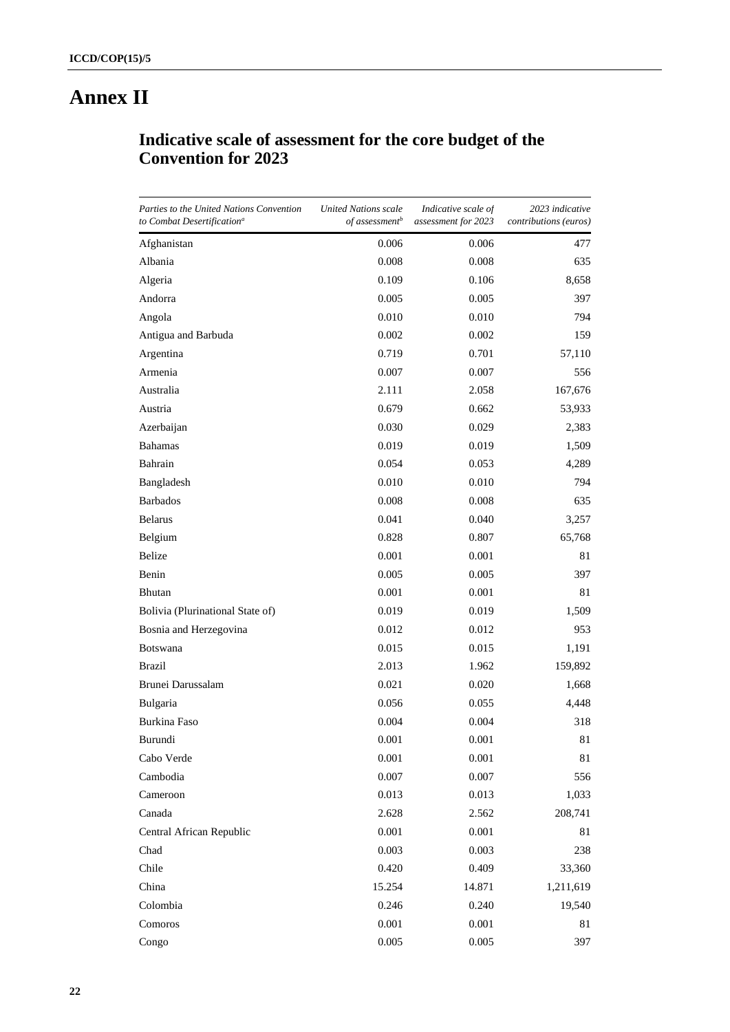# **Annex II**

# **Indicative scale of assessment for the core budget of the Convention for 2023**

| Parties to the United Nations Convention<br>to Combat Desertification <sup>a</sup> | <b>United Nations scale</b><br>of assessment <sup>b</sup> | Indicative scale of<br>assessment for 2023 | 2023 indicative<br>contributions (euros) |
|------------------------------------------------------------------------------------|-----------------------------------------------------------|--------------------------------------------|------------------------------------------|
| Afghanistan                                                                        | 0.006                                                     | 0.006                                      | 477                                      |
| Albania                                                                            | 0.008                                                     | 0.008                                      | 635                                      |
| Algeria                                                                            | 0.109                                                     | 0.106                                      | 8,658                                    |
| Andorra                                                                            | 0.005                                                     | 0.005                                      | 397                                      |
| Angola                                                                             | 0.010                                                     | 0.010                                      | 794                                      |
| Antigua and Barbuda                                                                | 0.002                                                     | 0.002                                      | 159                                      |
| Argentina                                                                          | 0.719                                                     | 0.701                                      | 57,110                                   |
| Armenia                                                                            | 0.007                                                     | 0.007                                      | 556                                      |
| Australia                                                                          | 2.111                                                     | 2.058                                      | 167,676                                  |
| Austria                                                                            | 0.679                                                     | 0.662                                      | 53,933                                   |
| Azerbaijan                                                                         | 0.030                                                     | 0.029                                      | 2,383                                    |
| <b>Bahamas</b>                                                                     | 0.019                                                     | 0.019                                      | 1,509                                    |
| Bahrain                                                                            | 0.054                                                     | 0.053                                      | 4,289                                    |
| Bangladesh                                                                         | 0.010                                                     | 0.010                                      | 794                                      |
| <b>Barbados</b>                                                                    | 0.008                                                     | 0.008                                      | 635                                      |
| <b>Belarus</b>                                                                     | 0.041                                                     | 0.040                                      | 3,257                                    |
| Belgium                                                                            | 0.828                                                     | 0.807                                      | 65,768                                   |
| Belize                                                                             | 0.001                                                     | 0.001                                      | 81                                       |
| Benin                                                                              | 0.005                                                     | 0.005                                      | 397                                      |
| Bhutan                                                                             | 0.001                                                     | 0.001                                      | 81                                       |
| Bolivia (Plurinational State of)                                                   | 0.019                                                     | 0.019                                      | 1,509                                    |
| Bosnia and Herzegovina                                                             | 0.012                                                     | 0.012                                      | 953                                      |
| <b>Botswana</b>                                                                    | 0.015                                                     | 0.015                                      | 1,191                                    |
| Brazil                                                                             | 2.013                                                     | 1.962                                      | 159,892                                  |
| Brunei Darussalam                                                                  | 0.021                                                     | 0.020                                      | 1,668                                    |
| Bulgaria                                                                           | 0.056                                                     | 0.055                                      | 4,448                                    |
| Burkina Faso                                                                       | 0.004                                                     | 0.004                                      | 318                                      |
| Burundi                                                                            | 0.001                                                     | 0.001                                      | 81                                       |
| Cabo Verde                                                                         | 0.001                                                     | 0.001                                      | 81                                       |
| Cambodia                                                                           | 0.007                                                     | $0.007\,$                                  | 556                                      |
| Cameroon                                                                           | 0.013                                                     | 0.013                                      | 1,033                                    |
| Canada                                                                             | 2.628                                                     | 2.562                                      | 208,741                                  |
| Central African Republic                                                           | 0.001                                                     | 0.001                                      | 81                                       |
| Chad                                                                               | 0.003                                                     | 0.003                                      | 238                                      |
| Chile                                                                              | 0.420                                                     | 0.409                                      | 33,360                                   |
| China                                                                              | 15.254                                                    | 14.871                                     | 1,211,619                                |
| Colombia                                                                           | 0.246                                                     | 0.240                                      | 19,540                                   |
| Comoros                                                                            | 0.001                                                     | 0.001                                      | 81                                       |
| Congo                                                                              | 0.005                                                     | 0.005                                      | 397                                      |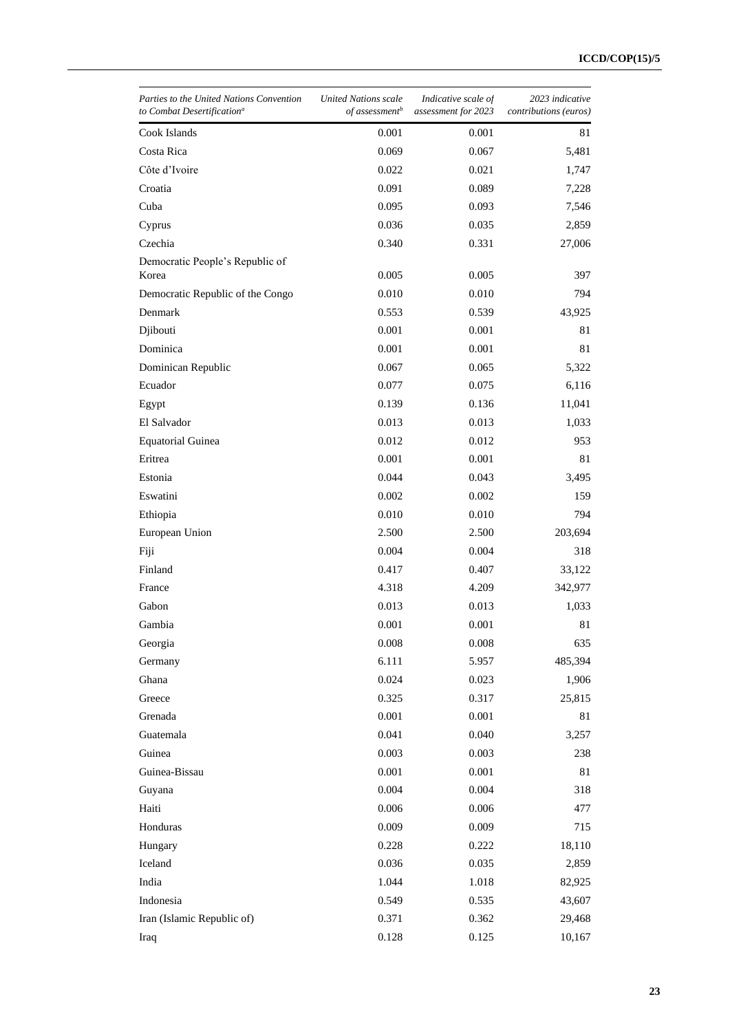| Parties to the United Nations Convention<br>to Combat Desertification <sup>a</sup> | <b>United Nations scale</b><br>of assessment <sup>b</sup> | Indicative scale of<br>assessment for 2023 | 2023 indicative<br>contributions (euros) |
|------------------------------------------------------------------------------------|-----------------------------------------------------------|--------------------------------------------|------------------------------------------|
| Cook Islands                                                                       | 0.001                                                     | 0.001                                      | 81                                       |
| Costa Rica                                                                         | 0.069                                                     | 0.067                                      | 5,481                                    |
| Côte d'Ivoire                                                                      | 0.022                                                     | 0.021                                      | 1,747                                    |
| Croatia                                                                            | 0.091                                                     | 0.089                                      | 7,228                                    |
| Cuba                                                                               | 0.095                                                     | 0.093                                      | 7,546                                    |
| Cyprus                                                                             | 0.036                                                     | 0.035                                      | 2,859                                    |
| Czechia                                                                            | 0.340                                                     | 0.331                                      | 27,006                                   |
| Democratic People's Republic of                                                    |                                                           |                                            |                                          |
| Korea                                                                              | 0.005                                                     | 0.005                                      | 397                                      |
| Democratic Republic of the Congo                                                   | 0.010                                                     | 0.010                                      | 794                                      |
| Denmark                                                                            | 0.553                                                     | 0.539                                      | 43,925                                   |
| Djibouti                                                                           | 0.001                                                     | 0.001                                      | 81                                       |
| Dominica                                                                           | 0.001                                                     | 0.001                                      | 81                                       |
| Dominican Republic                                                                 | 0.067                                                     | 0.065                                      | 5,322                                    |
| Ecuador                                                                            | 0.077                                                     | 0.075                                      | 6,116                                    |
| Egypt                                                                              | 0.139                                                     | 0.136                                      | 11,041                                   |
| El Salvador                                                                        | 0.013                                                     | 0.013                                      | 1,033                                    |
| <b>Equatorial Guinea</b>                                                           | 0.012                                                     | 0.012                                      | 953                                      |
| Eritrea                                                                            | 0.001                                                     | 0.001                                      | 81                                       |
| Estonia                                                                            | 0.044                                                     | 0.043                                      | 3,495                                    |
| Eswatini                                                                           | 0.002                                                     | 0.002                                      | 159                                      |
| Ethiopia                                                                           | 0.010                                                     | 0.010                                      | 794                                      |
| European Union                                                                     | 2.500                                                     | 2.500                                      | 203,694                                  |
| Fiji                                                                               | 0.004                                                     | 0.004                                      | 318                                      |
| Finland                                                                            | 0.417                                                     | 0.407                                      | 33,122                                   |
| France                                                                             | 4.318                                                     | 4.209                                      | 342,977                                  |
| Gabon                                                                              | 0.013                                                     | 0.013                                      | 1,033                                    |
| Gambia                                                                             | 0.001                                                     | 0.001                                      | 81                                       |
| Georgia                                                                            | 0.008                                                     | $0.008\,$                                  | 635                                      |
| Germany                                                                            | 6.111                                                     | 5.957                                      | 485,394                                  |
| Ghana                                                                              | 0.024                                                     | 0.023                                      | 1,906                                    |
| Greece                                                                             | 0.325                                                     | 0.317                                      | 25,815                                   |
| Grenada                                                                            | 0.001                                                     | 0.001                                      | 81                                       |
| Guatemala                                                                          | 0.041                                                     | 0.040                                      | 3,257                                    |
| Guinea                                                                             | 0.003                                                     | 0.003                                      | 238                                      |
| Guinea-Bissau                                                                      | 0.001                                                     | 0.001                                      | 81                                       |
| Guyana                                                                             | 0.004                                                     | 0.004                                      | 318                                      |
| Haiti                                                                              | 0.006                                                     | 0.006                                      | 477                                      |
| Honduras                                                                           | 0.009                                                     | 0.009                                      | 715                                      |
| Hungary                                                                            | 0.228                                                     | 0.222                                      | 18,110                                   |
| Iceland                                                                            | 0.036                                                     | 0.035                                      | 2,859                                    |
| India                                                                              | 1.044                                                     | 1.018                                      | 82,925                                   |
| Indonesia                                                                          | 0.549                                                     | 0.535                                      | 43,607                                   |
| Iran (Islamic Republic of)                                                         | 0.371                                                     | 0.362                                      | 29,468                                   |
| Iraq                                                                               | 0.128                                                     | 0.125                                      | 10,167                                   |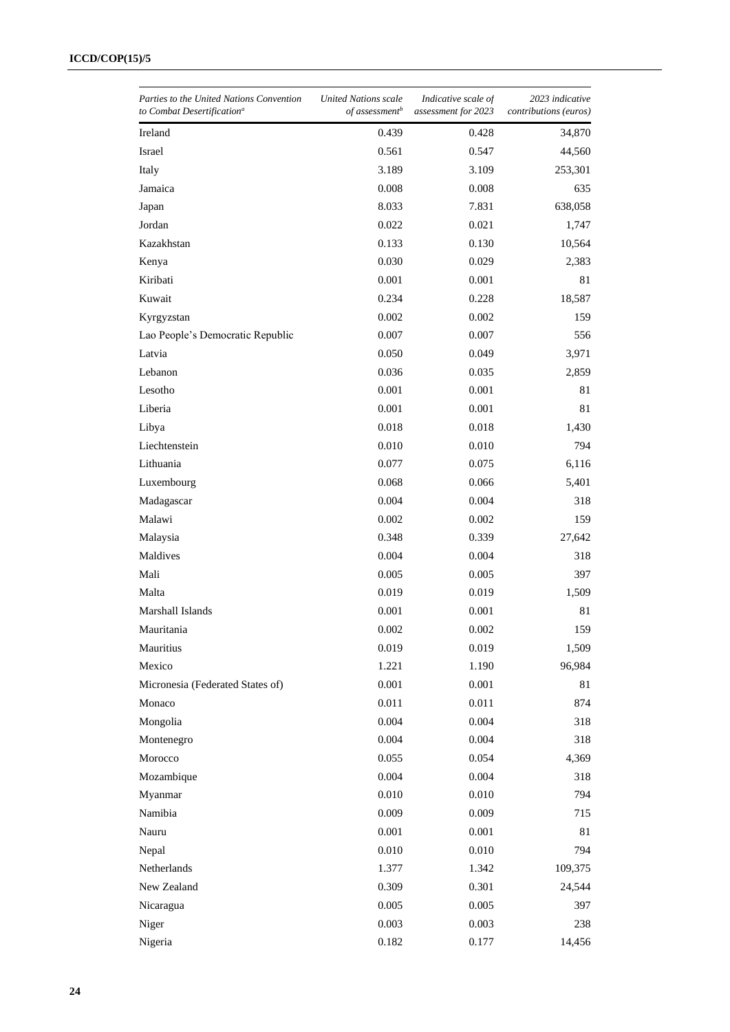| Parties to the United Nations Convention<br>to Combat Desertification <sup>a</sup> | United Nations scale<br>of assessment <sup>b</sup> | Indicative scale of<br>assessment for 2023 | 2023 indicative<br><i>contributions</i> ( <i>euros</i> ) |
|------------------------------------------------------------------------------------|----------------------------------------------------|--------------------------------------------|----------------------------------------------------------|
| Ireland                                                                            | 0.439                                              | 0.428                                      | 34,870                                                   |
| Israel                                                                             | 0.561                                              | 0.547                                      | 44,560                                                   |
| Italy                                                                              | 3.189                                              | 3.109                                      | 253,301                                                  |
| Jamaica                                                                            | 0.008                                              | 0.008                                      | 635                                                      |
| Japan                                                                              | 8.033                                              | 7.831                                      | 638,058                                                  |
| Jordan                                                                             | 0.022                                              | 0.021                                      | 1,747                                                    |
| Kazakhstan                                                                         | 0.133                                              | 0.130                                      | 10,564                                                   |
| Kenya                                                                              | 0.030                                              | 0.029                                      | 2,383                                                    |
| Kiribati                                                                           | 0.001                                              | 0.001                                      | 81                                                       |
| Kuwait                                                                             | 0.234                                              | 0.228                                      | 18,587                                                   |
| Kyrgyzstan                                                                         | 0.002                                              | 0.002                                      | 159                                                      |
| Lao People's Democratic Republic                                                   | 0.007                                              | 0.007                                      | 556                                                      |
| Latvia                                                                             | 0.050                                              | 0.049                                      | 3,971                                                    |
| Lebanon                                                                            | 0.036                                              | 0.035                                      | 2,859                                                    |
| Lesotho                                                                            | 0.001                                              | 0.001                                      | 81                                                       |
| Liberia                                                                            | 0.001                                              | 0.001                                      | 81                                                       |
| Libya                                                                              | 0.018                                              | 0.018                                      | 1,430                                                    |
| Liechtenstein                                                                      | 0.010                                              | 0.010                                      | 794                                                      |
| Lithuania                                                                          | 0.077                                              | 0.075                                      | 6,116                                                    |
| Luxembourg                                                                         | 0.068                                              | 0.066                                      | 5,401                                                    |
| Madagascar                                                                         | 0.004                                              | 0.004                                      | 318                                                      |
| Malawi                                                                             | 0.002                                              | 0.002                                      | 159                                                      |
| Malaysia                                                                           | 0.348                                              | 0.339                                      | 27,642                                                   |
| Maldives                                                                           | 0.004                                              | 0.004                                      | 318                                                      |
| Mali                                                                               | 0.005                                              | 0.005                                      | 397                                                      |
| Malta                                                                              | 0.019                                              | 0.019                                      | 1,509                                                    |
| Marshall Islands                                                                   | 0.001                                              | 0.001                                      | 81                                                       |
| Mauritania                                                                         | 0.002                                              | 0.002                                      | 159                                                      |
| Mauritius                                                                          | 0.019                                              | 0.019                                      | 1,509                                                    |
| Mexico                                                                             | 1.221                                              | 1.190                                      | 96,984                                                   |
| Micronesia (Federated States of)                                                   | 0.001                                              | 0.001                                      | 81                                                       |
| Monaco                                                                             | 0.011                                              | 0.011                                      | 874                                                      |
| Mongolia                                                                           | 0.004                                              | 0.004                                      | 318                                                      |
| Montenegro                                                                         | 0.004                                              | 0.004                                      | 318                                                      |
| Morocco                                                                            | 0.055                                              | 0.054                                      | 4,369                                                    |
| Mozambique                                                                         | 0.004                                              | 0.004                                      | 318                                                      |
| Myanmar                                                                            | 0.010                                              | 0.010                                      | 794                                                      |
| Namibia                                                                            | 0.009                                              | 0.009                                      | 715                                                      |
| Nauru                                                                              | 0.001                                              | 0.001                                      | 81                                                       |
| Nepal                                                                              | 0.010                                              | 0.010                                      | 794                                                      |
| Netherlands                                                                        | 1.377                                              | 1.342                                      | 109,375                                                  |
| New Zealand                                                                        | 0.309                                              | 0.301                                      | 24,544                                                   |
| Nicaragua                                                                          | 0.005                                              | 0.005                                      | 397                                                      |
| Niger                                                                              | 0.003                                              | 0.003                                      | 238                                                      |
| Nigeria                                                                            | 0.182                                              | 0.177                                      | 14,456                                                   |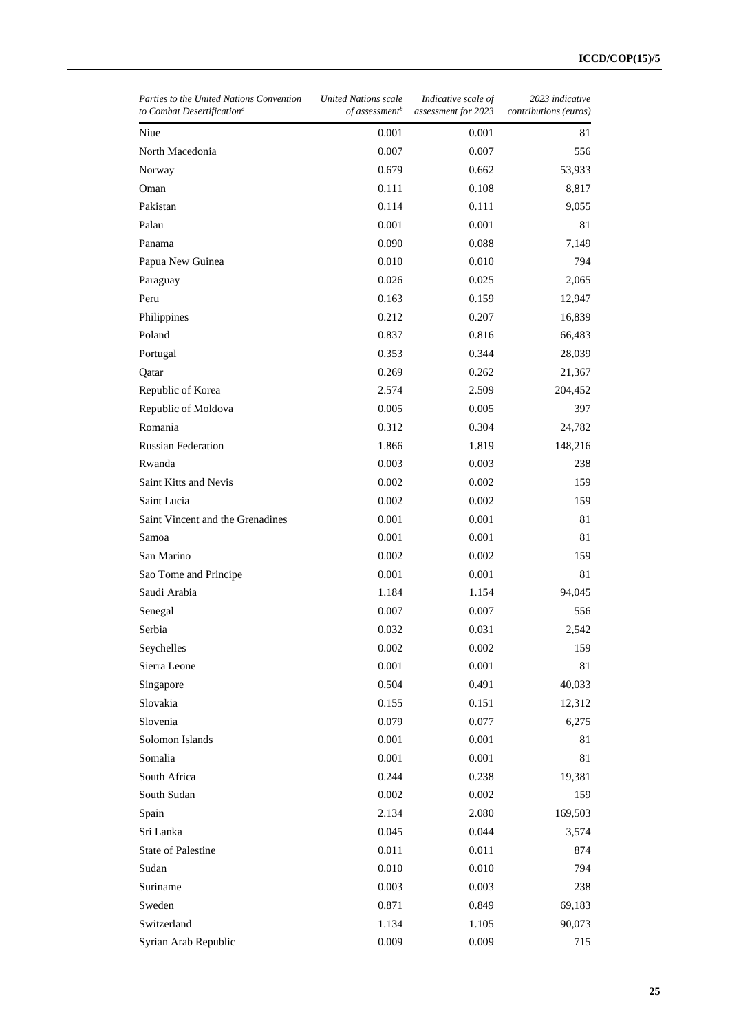| Parties to the United Nations Convention<br>to Combat Desertification <sup>a</sup> | United Nations scale<br>of assessment <sup>b</sup> | Indicative scale of<br>assessment for 2023 | 2023 indicative<br>contributions (euros) |
|------------------------------------------------------------------------------------|----------------------------------------------------|--------------------------------------------|------------------------------------------|
| Niue                                                                               | 0.001                                              | 0.001                                      | 81                                       |
| North Macedonia                                                                    | 0.007                                              | 0.007                                      | 556                                      |
| Norway                                                                             | 0.679                                              | 0.662                                      | 53,933                                   |
| Oman                                                                               | 0.111                                              | 0.108                                      | 8,817                                    |
| Pakistan                                                                           | 0.114                                              | 0.111                                      | 9,055                                    |
| Palau                                                                              | 0.001                                              | 0.001                                      | 81                                       |
| Panama                                                                             | 0.090                                              | 0.088                                      | 7,149                                    |
| Papua New Guinea                                                                   | 0.010                                              | 0.010                                      | 794                                      |
| Paraguay                                                                           | 0.026                                              | 0.025                                      | 2,065                                    |
| Peru                                                                               | 0.163                                              | 0.159                                      | 12,947                                   |
| Philippines                                                                        | 0.212                                              | 0.207                                      | 16,839                                   |
| Poland                                                                             | 0.837                                              | 0.816                                      | 66,483                                   |
| Portugal                                                                           | 0.353                                              | 0.344                                      | 28,039                                   |
| Qatar                                                                              | 0.269                                              | 0.262                                      | 21,367                                   |
| Republic of Korea                                                                  | 2.574                                              | 2.509                                      | 204,452                                  |
| Republic of Moldova                                                                | 0.005                                              | 0.005                                      | 397                                      |
| Romania                                                                            | 0.312                                              | 0.304                                      | 24,782                                   |
| <b>Russian Federation</b>                                                          | 1.866                                              | 1.819                                      | 148,216                                  |
| Rwanda                                                                             | 0.003                                              | 0.003                                      | 238                                      |
| Saint Kitts and Nevis                                                              | 0.002                                              | 0.002                                      | 159                                      |
| Saint Lucia                                                                        | 0.002                                              | 0.002                                      | 159                                      |
| Saint Vincent and the Grenadines                                                   | 0.001                                              | 0.001                                      | 81                                       |
| Samoa                                                                              | 0.001                                              | 0.001                                      | 81                                       |
| San Marino                                                                         | 0.002                                              | 0.002                                      | 159                                      |
| Sao Tome and Principe                                                              | 0.001                                              | 0.001                                      | 81                                       |
| Saudi Arabia                                                                       | 1.184                                              | 1.154                                      | 94,045                                   |
| Senegal                                                                            | 0.007                                              | 0.007                                      | 556                                      |
| Serbia                                                                             | 0.032                                              | 0.031                                      | 2,542                                    |
| Seychelles                                                                         | 0.002                                              | 0.002                                      | 159                                      |
| Sierra Leone                                                                       | 0.001                                              | 0.001                                      | 81                                       |
| Singapore                                                                          | 0.504                                              | 0.491                                      | 40,033                                   |
| Slovakia                                                                           | 0.155                                              | 0.151                                      | 12,312                                   |
| Slovenia                                                                           | 0.079                                              | 0.077                                      | 6,275                                    |
| Solomon Islands                                                                    | 0.001                                              | 0.001                                      | 81                                       |
| Somalia                                                                            | 0.001                                              | 0.001                                      | 81                                       |
| South Africa                                                                       | 0.244                                              | 0.238                                      | 19,381                                   |
| South Sudan                                                                        | 0.002                                              | 0.002                                      | 159                                      |
| Spain                                                                              | 2.134                                              | 2.080                                      | 169,503                                  |
| Sri Lanka                                                                          | 0.045                                              | 0.044                                      | 3,574                                    |
| <b>State of Palestine</b>                                                          | 0.011                                              | 0.011                                      | 874                                      |
| Sudan                                                                              | 0.010                                              | 0.010                                      | 794                                      |
| Suriname                                                                           | 0.003                                              | 0.003                                      | 238                                      |
| Sweden                                                                             | 0.871                                              | 0.849                                      | 69,183                                   |
| Switzerland                                                                        | 1.134                                              | 1.105                                      | 90,073                                   |
| Syrian Arab Republic                                                               | 0.009                                              | 0.009                                      | 715                                      |